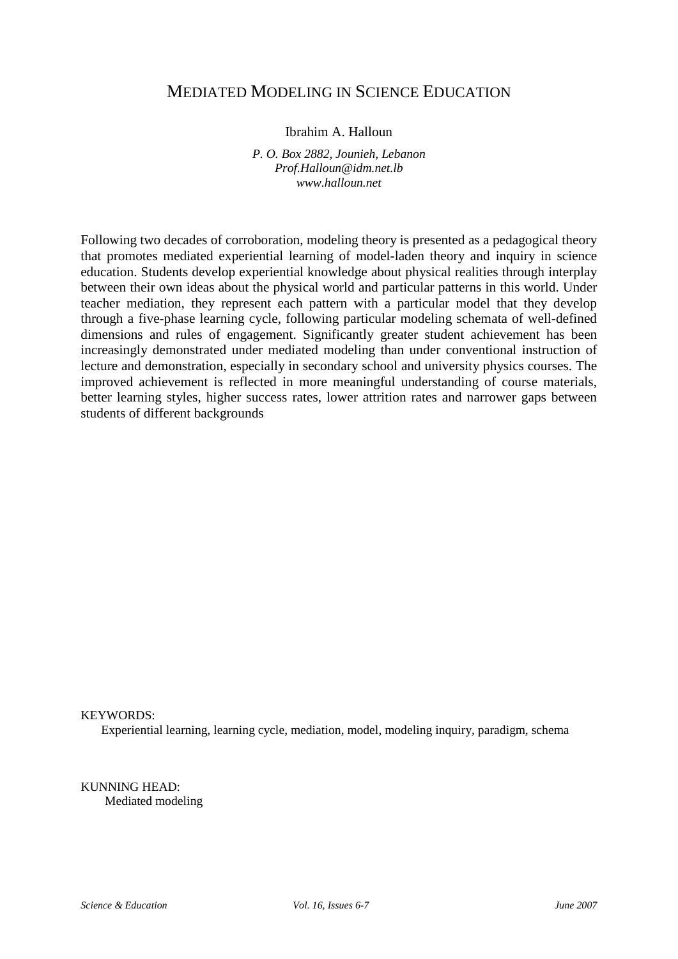# MEDIATED MODELING IN SCIENCE EDUCATION

Ibrahim A. Halloun

*P. O. Box 2882, Jounieh, Lebanon Prof.Halloun@idm.net.lb www.halloun.net*

Following two decades of corroboration, modeling theory is presented as a pedagogical theory that promotes mediated experiential learning of model-laden theory and inquiry in science education. Students develop experiential knowledge about physical realities through interplay between their own ideas about the physical world and particular patterns in this world. Under teacher mediation, they represent each pattern with a particular model that they develop through a five-phase learning cycle, following particular modeling schemata of well-defined dimensions and rules of engagement. Significantly greater student achievement has been increasingly demonstrated under mediated modeling than under conventional instruction of lecture and demonstration, especially in secondary school and university physics courses. The improved achievement is reflected in more meaningful understanding of course materials, better learning styles, higher success rates, lower attrition rates and narrower gaps between students of different backgrounds

KEYWORDS: Experiential learning, learning cycle, mediation, model, modeling inquiry, paradigm, schema

KUNNING HEAD: Mediated modeling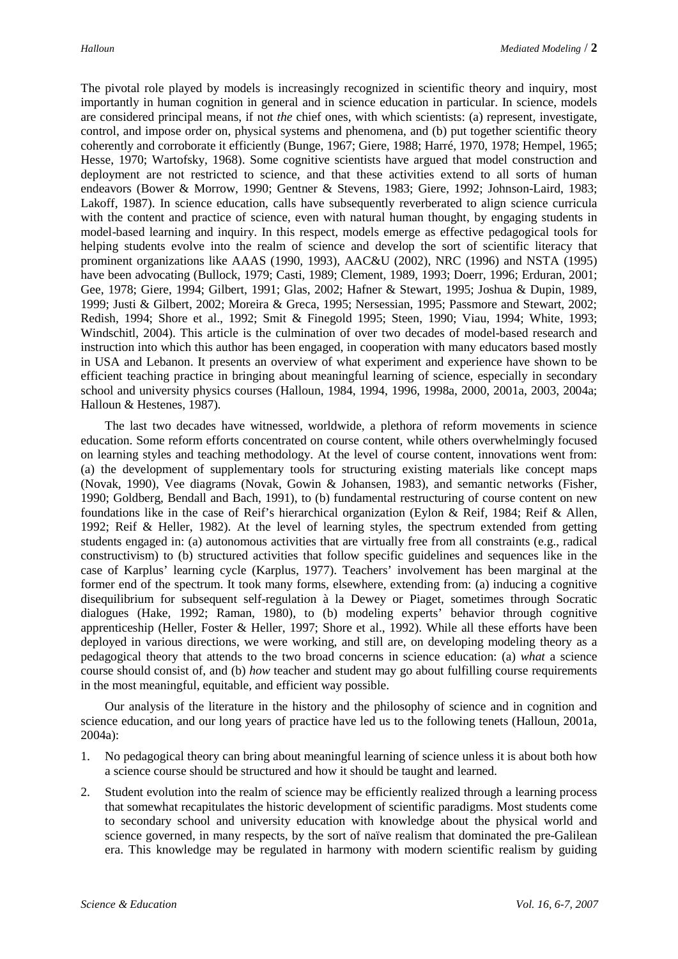The pivotal role played by models is increasingly recognized in scientific theory and inquiry, most importantly in human cognition in general and in science education in particular. In science, models are considered principal means, if not *the* chief ones, with which scientists: (a) represent, investigate, control, and impose order on, physical systems and phenomena, and (b) put together scientific theory coherently and corroborate it efficiently (Bunge, 1967; Giere, 1988; Harré, 1970, 1978; Hempel, 1965; Hesse, 1970; Wartofsky, 1968). Some cognitive scientists have argued that model construction and deployment are not restricted to science, and that these activities extend to all sorts of human endeavors (Bower & Morrow, 1990; Gentner & Stevens, 1983; Giere, 1992; Johnson-Laird, 1983; Lakoff, 1987). In science education, calls have subsequently reverberated to align science curricula with the content and practice of science, even with natural human thought, by engaging students in model-based learning and inquiry. In this respect, models emerge as effective pedagogical tools for helping students evolve into the realm of science and develop the sort of scientific literacy that prominent organizations like AAAS (1990, 1993), AAC&U (2002), NRC (1996) and NSTA (1995) have been advocating (Bullock, 1979; Casti, 1989; Clement, 1989, 1993; Doerr, 1996; Erduran, 2001; Gee, 1978; Giere, 1994; Gilbert, 1991; Glas, 2002; Hafner & Stewart, 1995; Joshua & Dupin, 1989, 1999; Justi & Gilbert, 2002; Moreira & Greca, 1995; Nersessian, 1995; Passmore and Stewart, 2002; Redish, 1994; Shore et al., 1992; Smit & Finegold 1995; Steen, 1990; Viau, 1994; White, 1993; Windschitl, 2004). This article is the culmination of over two decades of model-based research and instruction into which this author has been engaged, in cooperation with many educators based mostly in USA and Lebanon. It presents an overview of what experiment and experience have shown to be efficient teaching practice in bringing about meaningful learning of science, especially in secondary school and university physics courses (Halloun, 1984, 1994, 1996, 1998a, 2000, 2001a, 2003, 2004a; Halloun & Hestenes, 1987).

The last two decades have witnessed, worldwide, a plethora of reform movements in science education. Some reform efforts concentrated on course content, while others overwhelmingly focused on learning styles and teaching methodology. At the level of course content, innovations went from: (a) the development of supplementary tools for structuring existing materials like concept maps (Novak, 1990), Vee diagrams (Novak, Gowin & Johansen, 1983), and semantic networks (Fisher, 1990; Goldberg, Bendall and Bach, 1991), to (b) fundamental restructuring of course content on new foundations like in the case of Reif's hierarchical organization (Eylon & Reif, 1984; Reif & Allen, 1992; Reif & Heller, 1982). At the level of learning styles, the spectrum extended from getting students engaged in: (a) autonomous activities that are virtually free from all constraints (e.g., radical constructivism) to (b) structured activities that follow specific guidelines and sequences like in the case of Karplus' learning cycle (Karplus, 1977). Teachers' involvement has been marginal at the former end of the spectrum. It took many forms, elsewhere, extending from: (a) inducing a cognitive disequilibrium for subsequent self-regulation à la Dewey or Piaget, sometimes through Socratic dialogues (Hake, 1992; Raman, 1980), to (b) modeling experts' behavior through cognitive apprenticeship (Heller, Foster & Heller, 1997; Shore et al., 1992). While all these efforts have been deployed in various directions, we were working, and still are, on developing modeling theory as a pedagogical theory that attends to the two broad concerns in science education: (a) *what* a science course should consist of, and (b) *how* teacher and student may go about fulfilling course requirements in the most meaningful, equitable, and efficient way possible.

Our analysis of the literature in the history and the philosophy of science and in cognition and science education, and our long years of practice have led us to the following tenets (Halloun, 2001a, 2004a):

- 1. No pedagogical theory can bring about meaningful learning of science unless it is about both how a science course should be structured and how it should be taught and learned.
- 2. Student evolution into the realm of science may be efficiently realized through a learning process that somewhat recapitulates the historic development of scientific paradigms. Most students come to secondary school and university education with knowledge about the physical world and science governed, in many respects, by the sort of naïve realism that dominated the pre-Galilean era. This knowledge may be regulated in harmony with modern scientific realism by guiding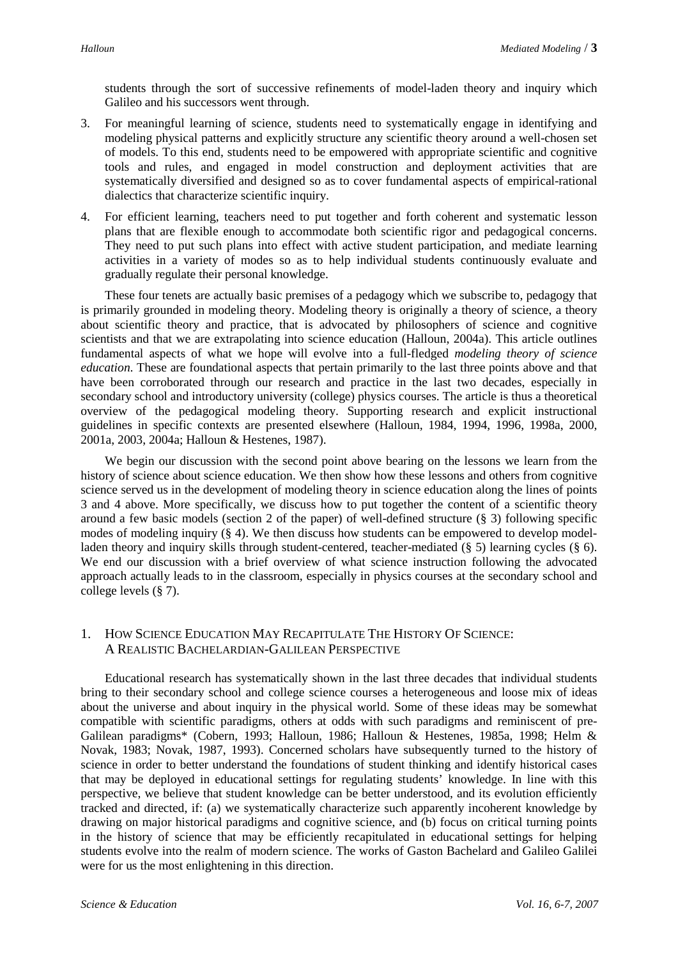students through the sort of successive refinements of model-laden theory and inquiry which Galileo and his successors went through.

- 3. For meaningful learning of science, students need to systematically engage in identifying and modeling physical patterns and explicitly structure any scientific theory around a well-chosen set of models. To this end, students need to be empowered with appropriate scientific and cognitive tools and rules, and engaged in model construction and deployment activities that are systematically diversified and designed so as to cover fundamental aspects of empirical-rational dialectics that characterize scientific inquiry.
- 4. For efficient learning, teachers need to put together and forth coherent and systematic lesson plans that are flexible enough to accommodate both scientific rigor and pedagogical concerns. They need to put such plans into effect with active student participation, and mediate learning activities in a variety of modes so as to help individual students continuously evaluate and gradually regulate their personal knowledge.

These four tenets are actually basic premises of a pedagogy which we subscribe to, pedagogy that is primarily grounded in modeling theory. Modeling theory is originally a theory of science, a theory about scientific theory and practice, that is advocated by philosophers of science and cognitive scientists and that we are extrapolating into science education (Halloun, 2004a). This article outlines fundamental aspects of what we hope will evolve into a full-fledged *modeling theory of science education*. These are foundational aspects that pertain primarily to the last three points above and that have been corroborated through our research and practice in the last two decades, especially in secondary school and introductory university (college) physics courses. The article is thus a theoretical overview of the pedagogical modeling theory. Supporting research and explicit instructional guidelines in specific contexts are presented elsewhere (Halloun, 1984, 1994, 1996, 1998a, 2000, 2001a, 2003, 2004a; Halloun & Hestenes, 1987).

We begin our discussion with the second point above bearing on the lessons we learn from the history of science about science education. We then show how these lessons and others from cognitive science served us in the development of modeling theory in science education along the lines of points 3 and 4 above. More specifically, we discuss how to put together the content of a scientific theory around a few basic models (section 2 of the paper) of well-defined structure (§ 3) following specific modes of modeling inquiry  $(\xi 4)$ . We then discuss how students can be empowered to develop modelladen theory and inquiry skills through student-centered, teacher-mediated (§ 5) learning cycles (§ 6). We end our discussion with a brief overview of what science instruction following the advocated approach actually leads to in the classroom, especially in physics courses at the secondary school and college levels (§ 7).

# 1. HOW SCIENCE EDUCATION MAY RECAPITULATE THE HISTORY OF SCIENCE: A REALISTIC BACHELARDIAN-GALILEAN PERSPECTIVE

Educational research has systematically shown in the last three decades that individual students bring to their secondary school and college science courses a heterogeneous and loose mix of ideas about the universe and about inquiry in the physical world. Some of these ideas may be somewhat compatible with scientific paradigms, others at odds with such paradigms and reminiscent of pre-Galilean paradigms\* (Cobern, 1993; Halloun, 1986; Halloun & Hestenes, 1985a, 1998; Helm & Novak, 1983; Novak, 1987, 1993). Concerned scholars have subsequently turned to the history of science in order to better understand the foundations of student thinking and identify historical cases that may be deployed in educational settings for regulating students' knowledge. In line with this perspective, we believe that student knowledge can be better understood, and its evolution efficiently tracked and directed, if: (a) we systematically characterize such apparently incoherent knowledge by drawing on major historical paradigms and cognitive science, and (b) focus on critical turning points in the history of science that may be efficiently recapitulated in educational settings for helping students evolve into the realm of modern science. The works of Gaston Bachelard and Galileo Galilei were for us the most enlightening in this direction.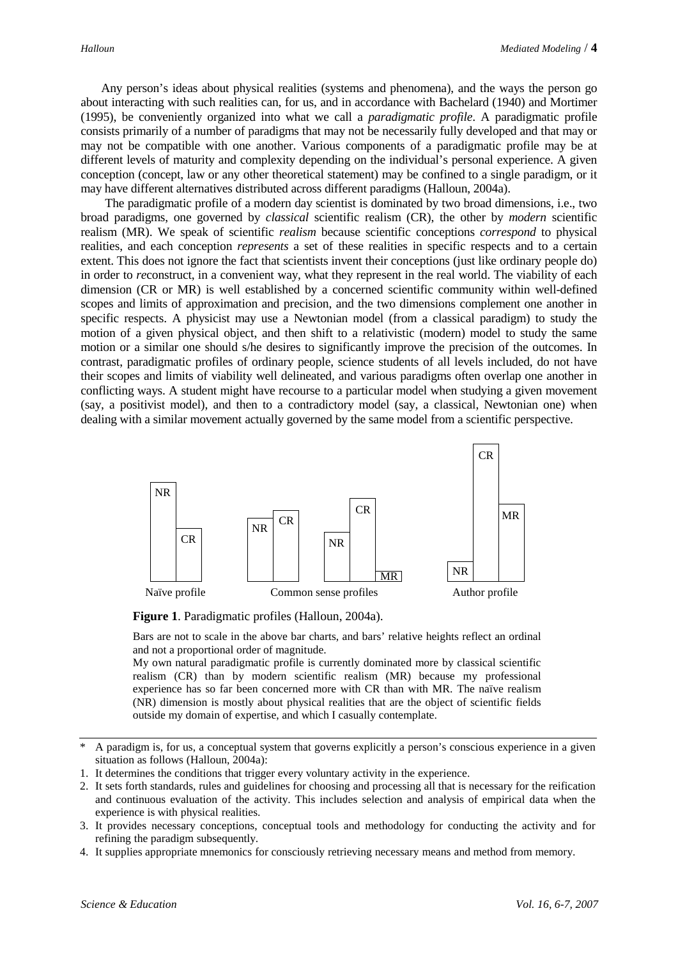Any person's ideas about physical realities (systems and phenomena), and the ways the person go about interacting with such realities can, for us, and in accordance with Bachelard (1940) and Mortimer (1995), be conveniently organized into what we call a *paradigmatic profile*. A paradigmatic profile consists primarily of a number of paradigms that may not be necessarily fully developed and that may or may not be compatible with one another. Various components of a paradigmatic profile may be at different levels of maturity and complexity depending on the individual's personal experience. A given conception (concept, law or any other theoretical statement) may be confined to a single paradigm, or it may have different alternatives distributed across different paradigms (Halloun, 2004a).

The paradigmatic profile of a modern day scientist is dominated by two broad dimensions, i.e., two broad paradigms, one governed by *classical* scientific realism (CR), the other by *modern* scientific realism (MR). We speak of scientific *realism* because scientific conceptions *correspond* to physical realities, and each conception *represents* a set of these realities in specific respects and to a certain extent. This does not ignore the fact that scientists invent their conceptions (just like ordinary people do) in order to *re*construct, in a convenient way, what they represent in the real world. The viability of each dimension (CR or MR) is well established by a concerned scientific community within well-defined scopes and limits of approximation and precision, and the two dimensions complement one another in specific respects. A physicist may use a Newtonian model (from a classical paradigm) to study the motion of a given physical object, and then shift to a relativistic (modern) model to study the same motion or a similar one should s/he desires to significantly improve the precision of the outcomes. In contrast, paradigmatic profiles of ordinary people, science students of all levels included, do not have their scopes and limits of viability well delineated, and various paradigms often overlap one another in conflicting ways. A student might have recourse to a particular model when studying a given movement (say, a positivist model), and then to a contradictory model (say, a classical, Newtonian one) when dealing with a similar movement actually governed by the same model from a scientific perspective.



**Figure 1**. Paradigmatic profiles (Halloun, 2004a).

Bars are not to scale in the above bar charts, and bars' relative heights reflect an ordinal and not a proportional order of magnitude.

My own natural paradigmatic profile is currently dominated more by classical scientific realism (CR) than by modern scientific realism (MR) because my professional experience has so far been concerned more with CR than with MR. The naïve realism (NR) dimension is mostly about physical realities that are the object of scientific fields outside my domain of expertise, and which I casually contemplate.

A paradigm is, for us, a conceptual system that governs explicitly a person's conscious experience in a given situation as follows (Halloun, 2004a):

<sup>1.</sup> It determines the conditions that trigger every voluntary activity in the experience.

<sup>2.</sup> It sets forth standards, rules and guidelines for choosing and processing all that is necessary for the reification and continuous evaluation of the activity. This includes selection and analysis of empirical data when the experience is with physical realities.

<sup>3.</sup> It provides necessary conceptions, conceptual tools and methodology for conducting the activity and for refining the paradigm subsequently.

<sup>4.</sup> It supplies appropriate mnemonics for consciously retrieving necessary means and method from memory.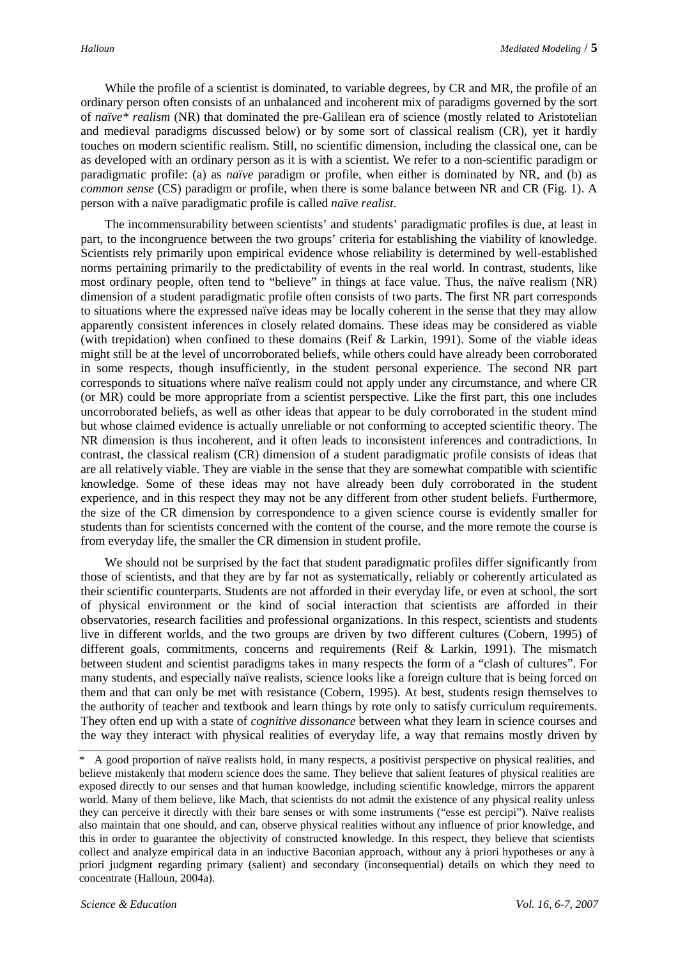While the profile of a scientist is dominated, to variable degrees, by CR and MR, the profile of an ordinary person often consists of an unbalanced and incoherent mix of paradigms governed by the sort of *naïve\* realism* (NR) that dominated the pre-Galilean era of science (mostly related to Aristotelian and medieval paradigms discussed below) or by some sort of classical realism (CR), yet it hardly touches on modern scientific realism. Still, no scientific dimension, including the classical one, can be as developed with an ordinary person as it is with a scientist. We refer to a non-scientific paradigm or paradigmatic profile: (a) as *naïve* paradigm or profile, when either is dominated by NR, and (b) as *common sense* (CS) paradigm or profile, when there is some balance between NR and CR (Fig. 1). A person with a naïve paradigmatic profile is called *naïve realist*.

The incommensurability between scientists' and students' paradigmatic profiles is due, at least in part, to the incongruence between the two groups' criteria for establishing the viability of knowledge. Scientists rely primarily upon empirical evidence whose reliability is determined by well-established norms pertaining primarily to the predictability of events in the real world. In contrast, students, like most ordinary people, often tend to "believe" in things at face value. Thus, the naïve realism (NR) dimension of a student paradigmatic profile often consists of two parts. The first NR part corresponds to situations where the expressed naïve ideas may be locally coherent in the sense that they may allow apparently consistent inferences in closely related domains. These ideas may be considered as viable (with trepidation) when confined to these domains (Reif & Larkin, 1991). Some of the viable ideas might still be at the level of uncorroborated beliefs, while others could have already been corroborated in some respects, though insufficiently, in the student personal experience. The second NR part corresponds to situations where naïve realism could not apply under any circumstance, and where CR (or MR) could be more appropriate from a scientist perspective. Like the first part, this one includes uncorroborated beliefs, as well as other ideas that appear to be duly corroborated in the student mind but whose claimed evidence is actually unreliable or not conforming to accepted scientific theory. The NR dimension is thus incoherent, and it often leads to inconsistent inferences and contradictions. In contrast, the classical realism (CR) dimension of a student paradigmatic profile consists of ideas that are all relatively viable. They are viable in the sense that they are somewhat compatible with scientific knowledge. Some of these ideas may not have already been duly corroborated in the student experience, and in this respect they may not be any different from other student beliefs. Furthermore, the size of the CR dimension by correspondence to a given science course is evidently smaller for students than for scientists concerned with the content of the course, and the more remote the course is from everyday life, the smaller the CR dimension in student profile.

We should not be surprised by the fact that student paradigmatic profiles differ significantly from those of scientists, and that they are by far not as systematically, reliably or coherently articulated as their scientific counterparts. Students are not afforded in their everyday life, or even at school, the sort of physical environment or the kind of social interaction that scientists are afforded in their observatories, research facilities and professional organizations. In this respect, scientists and students live in different worlds, and the two groups are driven by two different cultures (Cobern, 1995) of different goals, commitments, concerns and requirements (Reif & Larkin, 1991). The mismatch between student and scientist paradigms takes in many respects the form of a "clash of cultures". For many students, and especially naïve realists, science looks like a foreign culture that is being forced on them and that can only be met with resistance (Cobern, 1995). At best, students resign themselves to the authority of teacher and textbook and learn things by rote only to satisfy curriculum requirements. They often end up with a state of *cognitive dissonance* between what they learn in science courses and the way they interact with physical realities of everyday life, a way that remains mostly driven by

<sup>\*</sup> A good proportion of naïve realists hold, in many respects, a positivist perspective on physical realities, and believe mistakenly that modern science does the same. They believe that salient features of physical realities are exposed directly to our senses and that human knowledge, including scientific knowledge, mirrors the apparent world. Many of them believe, like Mach, that scientists do not admit the existence of any physical reality unless they can perceive it directly with their bare senses or with some instruments ("esse est percipi"). Naïve realists also maintain that one should, and can, observe physical realities without any influence of prior knowledge, and this in order to guarantee the objectivity of constructed knowledge. In this respect, they believe that scientists collect and analyze empirical data in an inductive Baconian approach, without any à priori hypotheses or any à priori judgment regarding primary (salient) and secondary (inconsequential) details on which they need to concentrate (Halloun, 2004a).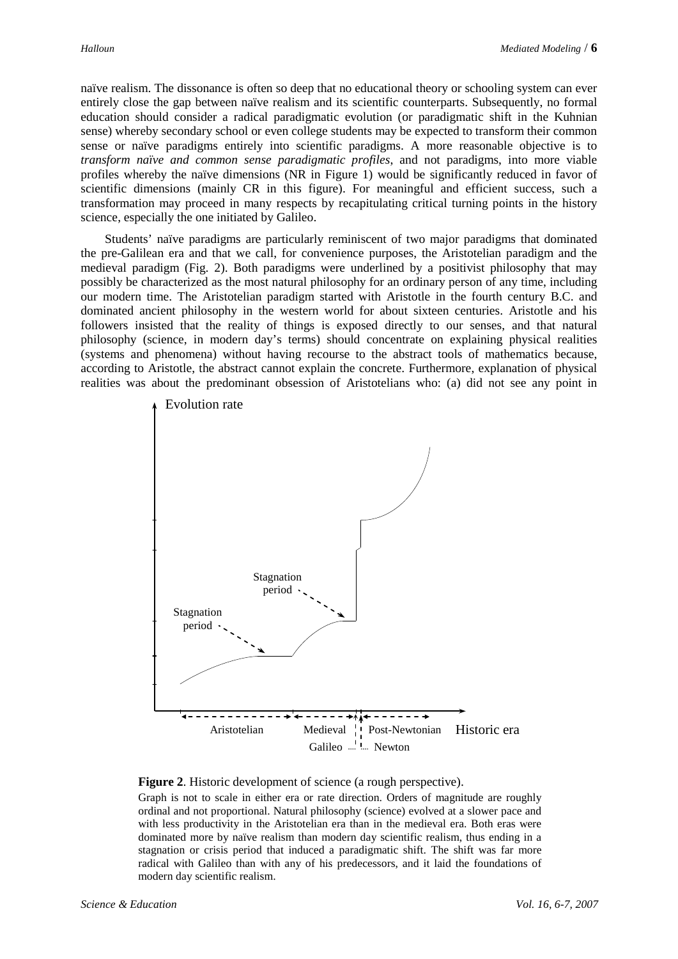naïve realism. The dissonance is often so deep that no educational theory or schooling system can ever entirely close the gap between naïve realism and its scientific counterparts. Subsequently, no formal education should consider a radical paradigmatic evolution (or paradigmatic shift in the Kuhnian sense) whereby secondary school or even college students may be expected to transform their common sense or naïve paradigms entirely into scientific paradigms. A more reasonable objective is to *transform naïve and common sense paradigmatic profiles*, and not paradigms, into more viable profiles whereby the naïve dimensions (NR in Figure 1) would be significantly reduced in favor of scientific dimensions (mainly CR in this figure). For meaningful and efficient success, such a transformation may proceed in many respects by recapitulating critical turning points in the history science, especially the one initiated by Galileo.

Students' naïve paradigms are particularly reminiscent of two major paradigms that dominated the pre-Galilean era and that we call, for convenience purposes, the Aristotelian paradigm and the medieval paradigm (Fig. 2). Both paradigms were underlined by a positivist philosophy that may possibly be characterized as the most natural philosophy for an ordinary person of any time, including our modern time. The Aristotelian paradigm started with Aristotle in the fourth century B.C. and dominated ancient philosophy in the western world for about sixteen centuries. Aristotle and his followers insisted that the reality of things is exposed directly to our senses, and that natural philosophy (science, in modern day's terms) should concentrate on explaining physical realities (systems and phenomena) without having recourse to the abstract tools of mathematics because, according to Aristotle, the abstract cannot explain the concrete. Furthermore, explanation of physical realities was about the predominant obsession of Aristotelians who: (a) did not see any point in





Graph is not to scale in either era or rate direction. Orders of magnitude are roughly ordinal and not proportional. Natural philosophy (science) evolved at a slower pace and with less productivity in the Aristotelian era than in the medieval era. Both eras were dominated more by naïve realism than modern day scientific realism, thus ending in a stagnation or crisis period that induced a paradigmatic shift. The shift was far more radical with Galileo than with any of his predecessors, and it laid the foundations of modern day scientific realism.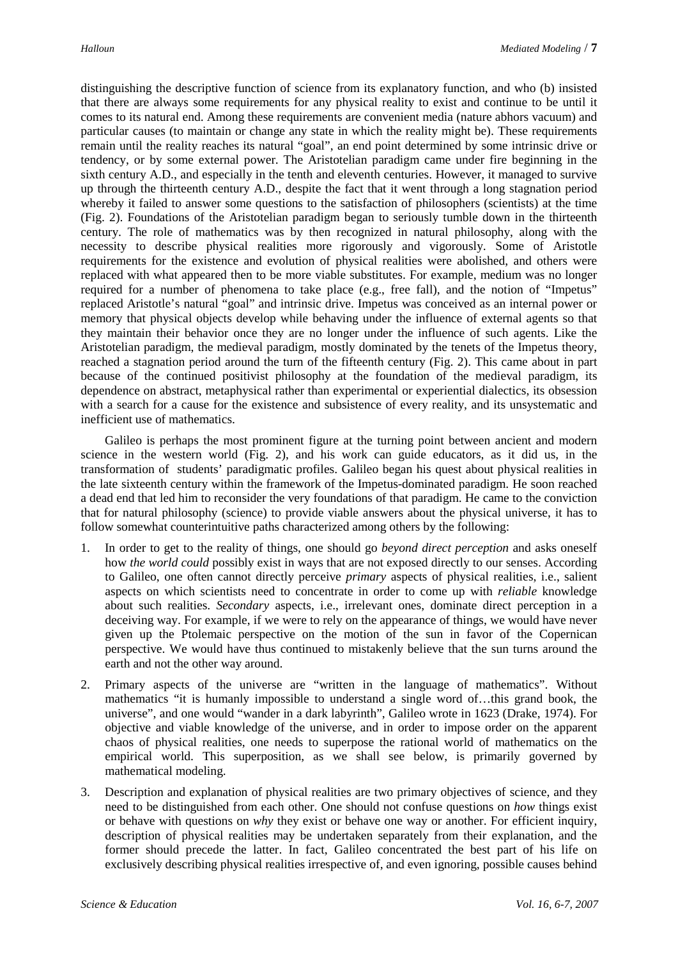distinguishing the descriptive function of science from its explanatory function, and who (b) insisted that there are always some requirements for any physical reality to exist and continue to be until it comes to its natural end. Among these requirements are convenient media (nature abhors vacuum) and particular causes (to maintain or change any state in which the reality might be). These requirements remain until the reality reaches its natural "goal", an end point determined by some intrinsic drive or tendency, or by some external power. The Aristotelian paradigm came under fire beginning in the sixth century A.D., and especially in the tenth and eleventh centuries. However, it managed to survive up through the thirteenth century A.D., despite the fact that it went through a long stagnation period whereby it failed to answer some questions to the satisfaction of philosophers (scientists) at the time (Fig. 2). Foundations of the Aristotelian paradigm began to seriously tumble down in the thirteenth century. The role of mathematics was by then recognized in natural philosophy, along with the necessity to describe physical realities more rigorously and vigorously. Some of Aristotle requirements for the existence and evolution of physical realities were abolished, and others were replaced with what appeared then to be more viable substitutes. For example, medium was no longer required for a number of phenomena to take place (e.g., free fall), and the notion of "Impetus" replaced Aristotle's natural "goal" and intrinsic drive. Impetus was conceived as an internal power or memory that physical objects develop while behaving under the influence of external agents so that they maintain their behavior once they are no longer under the influence of such agents. Like the Aristotelian paradigm, the medieval paradigm, mostly dominated by the tenets of the Impetus theory, reached a stagnation period around the turn of the fifteenth century (Fig. 2). This came about in part because of the continued positivist philosophy at the foundation of the medieval paradigm, its dependence on abstract, metaphysical rather than experimental or experiential dialectics, its obsession with a search for a cause for the existence and subsistence of every reality, and its unsystematic and inefficient use of mathematics.

Galileo is perhaps the most prominent figure at the turning point between ancient and modern science in the western world (Fig. 2), and his work can guide educators, as it did us, in the transformation of students' paradigmatic profiles. Galileo began his quest about physical realities in the late sixteenth century within the framework of the Impetus-dominated paradigm. He soon reached a dead end that led him to reconsider the very foundations of that paradigm. He came to the conviction that for natural philosophy (science) to provide viable answers about the physical universe, it has to follow somewhat counterintuitive paths characterized among others by the following:

- 1. In order to get to the reality of things, one should go *beyond direct perception* and asks oneself how *the world could* possibly exist in ways that are not exposed directly to our senses. According to Galileo, one often cannot directly perceive *primary* aspects of physical realities, i.e., salient aspects on which scientists need to concentrate in order to come up with *reliable* knowledge about such realities. *Secondary* aspects, i.e., irrelevant ones, dominate direct perception in a deceiving way. For example, if we were to rely on the appearance of things, we would have never given up the Ptolemaic perspective on the motion of the sun in favor of the Copernican perspective. We would have thus continued to mistakenly believe that the sun turns around the earth and not the other way around.
- 2. Primary aspects of the universe are "written in the language of mathematics". Without mathematics "it is humanly impossible to understand a single word of…this grand book, the universe", and one would "wander in a dark labyrinth", Galileo wrote in 1623 (Drake, 1974). For objective and viable knowledge of the universe, and in order to impose order on the apparent chaos of physical realities, one needs to superpose the rational world of mathematics on the empirical world. This superposition, as we shall see below, is primarily governed by mathematical modeling.
- 3. Description and explanation of physical realities are two primary objectives of science, and they need to be distinguished from each other. One should not confuse questions on *how* things exist or behave with questions on *why* they exist or behave one way or another. For efficient inquiry, description of physical realities may be undertaken separately from their explanation, and the former should precede the latter. In fact, Galileo concentrated the best part of his life on exclusively describing physical realities irrespective of, and even ignoring, possible causes behind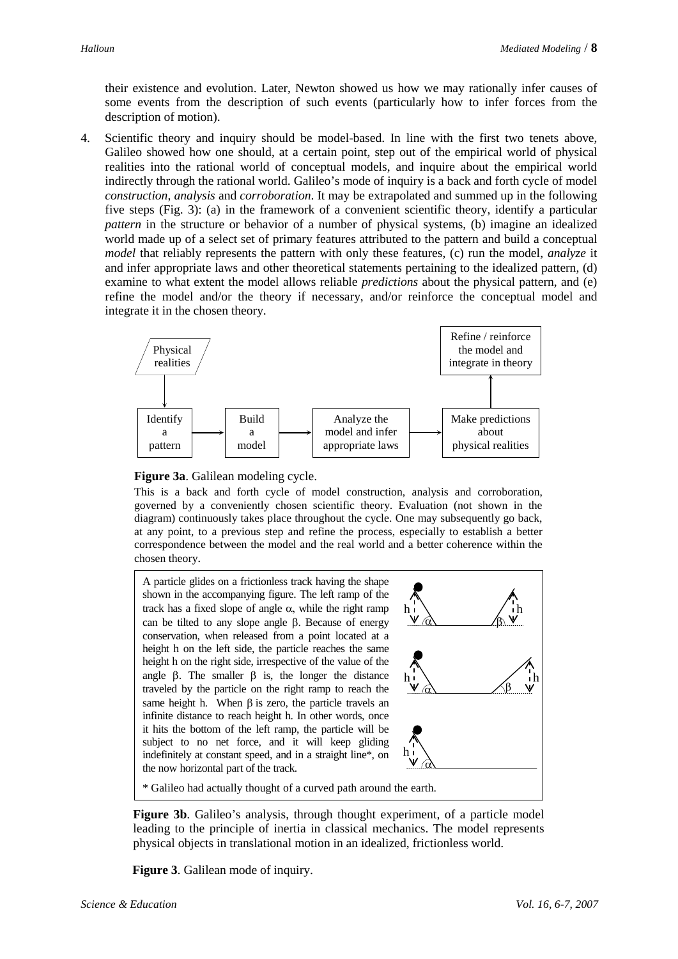their existence and evolution. Later, Newton showed us how we may rationally infer causes of some events from the description of such events (particularly how to infer forces from the description of motion).

4. Scientific theory and inquiry should be model-based. In line with the first two tenets above, Galileo showed how one should, at a certain point, step out of the empirical world of physical realities into the rational world of conceptual models, and inquire about the empirical world indirectly through the rational world. Galileo's mode of inquiry is a back and forth cycle of model *construction*, *analysis* and *corroboration*. It may be extrapolated and summed up in the following five steps (Fig. 3): (a) in the framework of a convenient scientific theory, identify a particular *pattern* in the structure or behavior of a number of physical systems, (b) imagine an idealized world made up of a select set of primary features attributed to the pattern and build a conceptual *model* that reliably represents the pattern with only these features, (c) run the model, *analyze* it and infer appropriate laws and other theoretical statements pertaining to the idealized pattern, (d) examine to what extent the model allows reliable *predictions* about the physical pattern, and (e) refine the model and/or the theory if necessary, and/or reinforce the conceptual model and integrate it in the chosen theory.





This is a back and forth cycle of model construction, analysis and corroboration, governed by a conveniently chosen scientific theory. Evaluation (not shown in the diagram) continuously takes place throughout the cycle. One may subsequently go back, at any point, to a previous step and refine the process, especially to establish a better correspondence between the model and the real world and a better coherence within the chosen theory.

A particle glides on a frictionless track having the shape shown in the accompanying figure. The left ramp of the track has a fixed slope of angle α, while the right ramp can be tilted to any slope angle β. Because of energy conservation, when released from a point located at a height h on the left side, the particle reaches the same height h on the right side, irrespective of the value of the angle β. The smaller β is, the longer the distance traveled by the particle on the right ramp to reach the same height h. When  $\beta$  is zero, the particle travels an infinite distance to reach height h. In other words, once it hits the bottom of the left ramp, the particle will be subject to no net force, and it will keep gliding indefinitely at constant speed, and in a straight line\*, on the now horizontal part of the track.



**Figure 3b**. Galileo's analysis, through thought experiment, of a particle model leading to the principle of inertia in classical mechanics. The model represents physical objects in translational motion in an idealized, frictionless world.

**Figure 3**. Galilean mode of inquiry.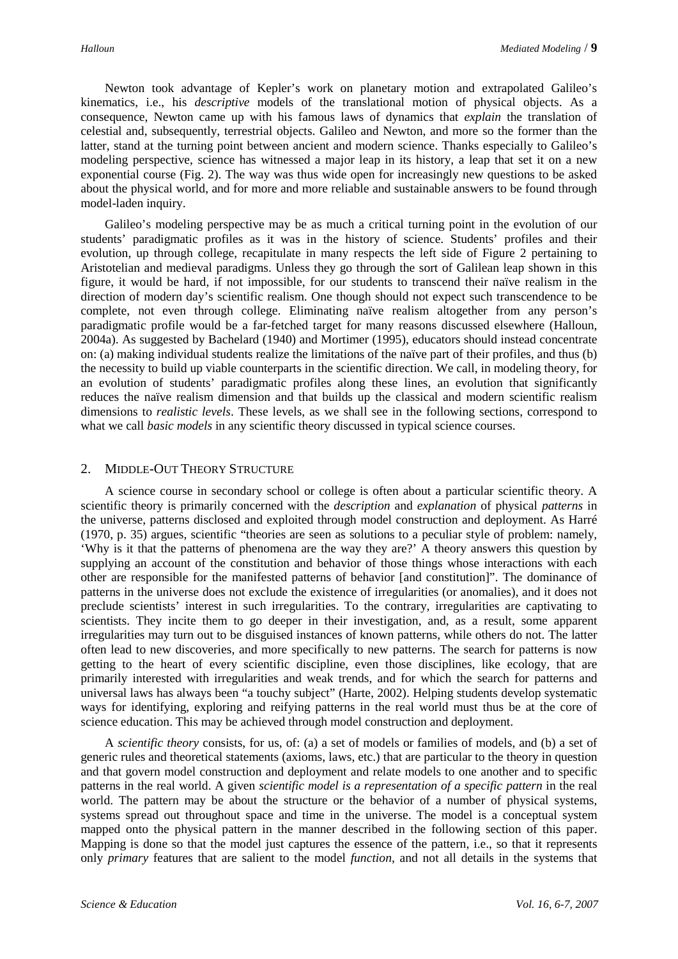Newton took advantage of Kepler's work on planetary motion and extrapolated Galileo's kinematics, i.e., his *descriptive* models of the translational motion of physical objects. As a consequence, Newton came up with his famous laws of dynamics that *explain* the translation of celestial and, subsequently, terrestrial objects. Galileo and Newton, and more so the former than the latter, stand at the turning point between ancient and modern science. Thanks especially to Galileo's modeling perspective, science has witnessed a major leap in its history, a leap that set it on a new exponential course (Fig. 2). The way was thus wide open for increasingly new questions to be asked about the physical world, and for more and more reliable and sustainable answers to be found through model-laden inquiry.

Galileo's modeling perspective may be as much a critical turning point in the evolution of our students' paradigmatic profiles as it was in the history of science. Students' profiles and their evolution, up through college, recapitulate in many respects the left side of Figure 2 pertaining to Aristotelian and medieval paradigms. Unless they go through the sort of Galilean leap shown in this figure, it would be hard, if not impossible, for our students to transcend their naïve realism in the direction of modern day's scientific realism. One though should not expect such transcendence to be complete, not even through college. Eliminating naïve realism altogether from any person's paradigmatic profile would be a far-fetched target for many reasons discussed elsewhere (Halloun, 2004a). As suggested by Bachelard (1940) and Mortimer (1995), educators should instead concentrate on: (a) making individual students realize the limitations of the naïve part of their profiles, and thus (b) the necessity to build up viable counterparts in the scientific direction. We call, in modeling theory, for an evolution of students' paradigmatic profiles along these lines, an evolution that significantly reduces the naïve realism dimension and that builds up the classical and modern scientific realism dimensions to *realistic levels*. These levels, as we shall see in the following sections, correspond to what we call *basic models* in any scientific theory discussed in typical science courses.

#### 2. MIDDLE-OUT THEORY STRUCTURE

A science course in secondary school or college is often about a particular scientific theory. A scientific theory is primarily concerned with the *description* and *explanation* of physical *patterns* in the universe, patterns disclosed and exploited through model construction and deployment. As Harré (1970, p. 35) argues, scientific "theories are seen as solutions to a peculiar style of problem: namely, 'Why is it that the patterns of phenomena are the way they are?' A theory answers this question by supplying an account of the constitution and behavior of those things whose interactions with each other are responsible for the manifested patterns of behavior [and constitution]". The dominance of patterns in the universe does not exclude the existence of irregularities (or anomalies), and it does not preclude scientists' interest in such irregularities. To the contrary, irregularities are captivating to scientists. They incite them to go deeper in their investigation, and, as a result, some apparent irregularities may turn out to be disguised instances of known patterns, while others do not. The latter often lead to new discoveries, and more specifically to new patterns. The search for patterns is now getting to the heart of every scientific discipline, even those disciplines, like ecology, that are primarily interested with irregularities and weak trends, and for which the search for patterns and universal laws has always been "a touchy subject" (Harte, 2002). Helping students develop systematic ways for identifying, exploring and reifying patterns in the real world must thus be at the core of science education. This may be achieved through model construction and deployment.

A *scientific theory* consists, for us, of: (a) a set of models or families of models, and (b) a set of generic rules and theoretical statements (axioms, laws, etc.) that are particular to the theory in question and that govern model construction and deployment and relate models to one another and to specific patterns in the real world. A given *scientific model is a representation of a specific pattern* in the real world. The pattern may be about the structure or the behavior of a number of physical systems, systems spread out throughout space and time in the universe. The model is a conceptual system mapped onto the physical pattern in the manner described in the following section of this paper. Mapping is done so that the model just captures the essence of the pattern, i.e., so that it represents only *primary* features that are salient to the model *function*, and not all details in the systems that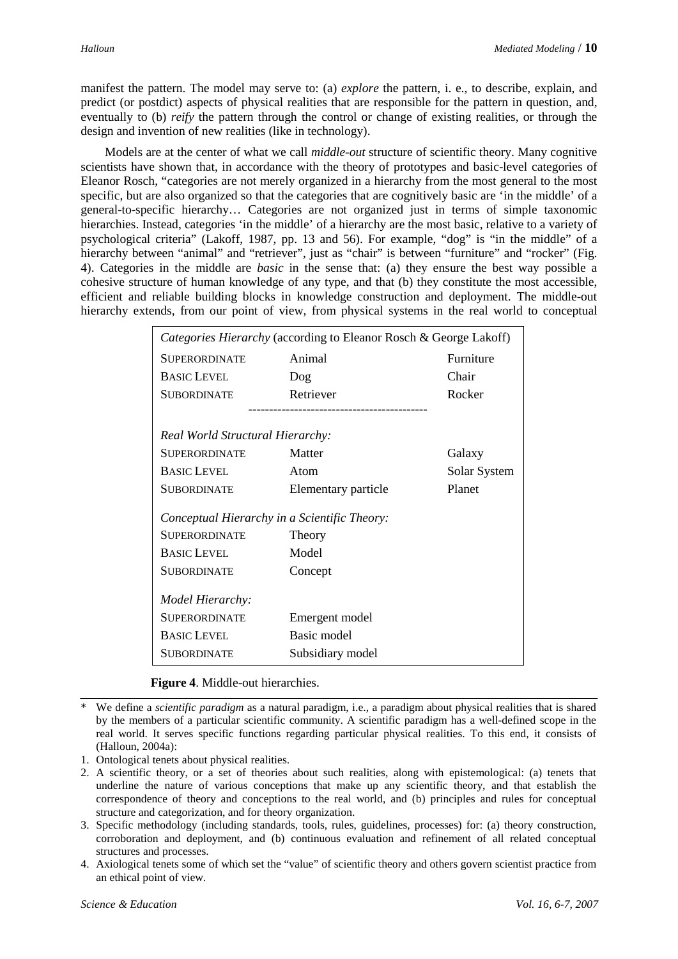manifest the pattern. The model may serve to: (a) *explore* the pattern, i. e., to describe, explain, and predict (or postdict) aspects of physical realities that are responsible for the pattern in question, and, eventually to (b) *reify* the pattern through the control or change of existing realities, or through the design and invention of new realities (like in technology).

Models are at the center of what we call *middle-out* structure of scientific theory. Many cognitive scientists have shown that, in accordance with the theory of prototypes and basic-level categories of Eleanor Rosch, "categories are not merely organized in a hierarchy from the most general to the most specific, but are also organized so that the categories that are cognitively basic are 'in the middle' of a general-to-specific hierarchy… Categories are not organized just in terms of simple taxonomic hierarchies. Instead, categories 'in the middle' of a hierarchy are the most basic, relative to a variety of psychological criteria" (Lakoff, 1987, pp. 13 and 56). For example, "dog" is "in the middle" of a hierarchy between "animal" and "retriever", just as "chair" is between "furniture" and "rocker" (Fig. 4). Categories in the middle are *basic* in the sense that: (a) they ensure the best way possible a cohesive structure of human knowledge of any type, and that (b) they constitute the most accessible, efficient and reliable building blocks in knowledge construction and deployment. The middle-out hierarchy extends, from our point of view, from physical systems in the real world to conceptual

| Categories Hierarchy (according to Eleanor Rosch & George Lakoff) |                     |              |  |  |
|-------------------------------------------------------------------|---------------------|--------------|--|--|
| <b>SUPERORDINATE</b>                                              | Animal              | Furniture    |  |  |
| <b>BASIC LEVEL</b>                                                | Dog                 | Chair        |  |  |
| <b>SUBORDINATE</b>                                                | Retriever           | Rocker       |  |  |
|                                                                   |                     |              |  |  |
| Real World Structural Hierarchy:                                  |                     |              |  |  |
| <b>SUPERORDINATE</b>                                              | Matter              | Galaxy       |  |  |
| <b>BASIC LEVEL</b>                                                | Atom                | Solar System |  |  |
| <b>SUBORDINATE</b>                                                | Elementary particle | Planet       |  |  |
| Conceptual Hierarchy in a Scientific Theory:                      |                     |              |  |  |
| <b>SUPERORDINATE</b>                                              | Theory              |              |  |  |
| <b>BASIC LEVEL</b>                                                | Model               |              |  |  |
| <b>SUBORDINATE</b>                                                | Concept             |              |  |  |
| Model Hierarchy:                                                  |                     |              |  |  |
| <b>SUPERORDINATE</b>                                              | Emergent model      |              |  |  |
| <b>BASIC LEVEL</b>                                                | Basic model         |              |  |  |
| <b>SUBORDINATE</b>                                                | Subsidiary model    |              |  |  |

**Figure 4**. Middle-out hierarchies.

- We define a *scientific paradigm* as a natural paradigm, i.e., a paradigm about physical realities that is shared by the members of a particular scientific community. A scientific paradigm has a well-defined scope in the real world. It serves specific functions regarding particular physical realities. To this end, it consists of (Halloun, 2004a):
- 1. Ontological tenets about physical realities.
- 2. A scientific theory, or a set of theories about such realities, along with epistemological: (a) tenets that underline the nature of various conceptions that make up any scientific theory, and that establish the correspondence of theory and conceptions to the real world, and (b) principles and rules for conceptual structure and categorization, and for theory organization.
- 3. Specific methodology (including standards, tools, rules, guidelines, processes) for: (a) theory construction, corroboration and deployment, and (b) continuous evaluation and refinement of all related conceptual structures and processes.
- 4. Axiological tenets some of which set the "value" of scientific theory and others govern scientist practice from an ethical point of view.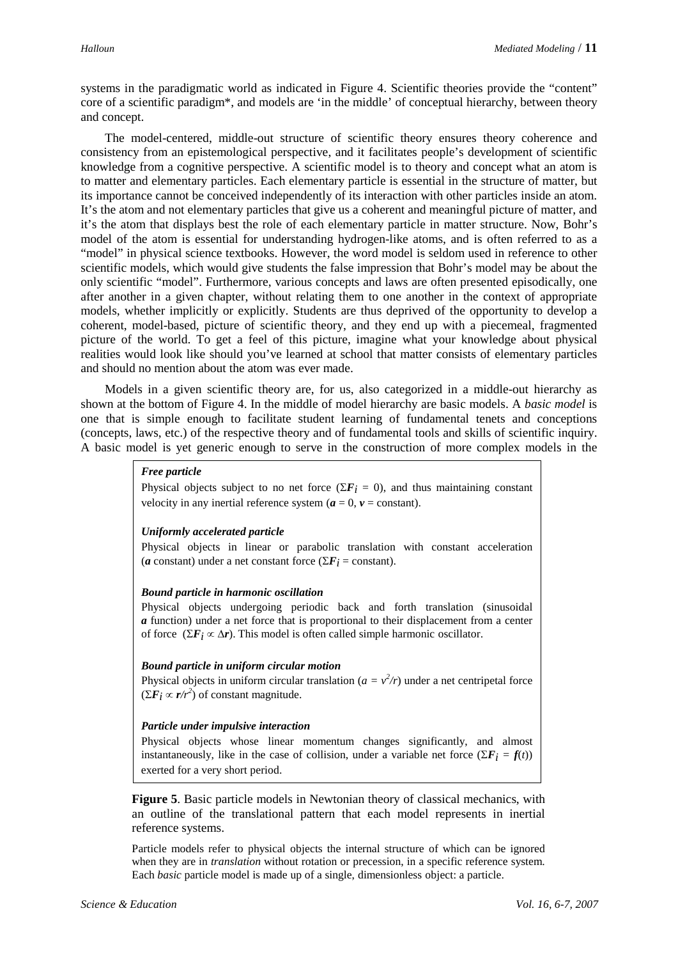systems in the paradigmatic world as indicated in Figure 4. Scientific theories provide the "content" core of a scientific paradigm\*, and models are 'in the middle' of conceptual hierarchy, between theory and concept.

The model-centered, middle-out structure of scientific theory ensures theory coherence and consistency from an epistemological perspective, and it facilitates people's development of scientific knowledge from a cognitive perspective. A scientific model is to theory and concept what an atom is to matter and elementary particles. Each elementary particle is essential in the structure of matter, but its importance cannot be conceived independently of its interaction with other particles inside an atom. It's the atom and not elementary particles that give us a coherent and meaningful picture of matter, and it's the atom that displays best the role of each elementary particle in matter structure. Now, Bohr's model of the atom is essential for understanding hydrogen-like atoms, and is often referred to as a "model" in physical science textbooks. However, the word model is seldom used in reference to other scientific models, which would give students the false impression that Bohr's model may be about the only scientific "model". Furthermore, various concepts and laws are often presented episodically, one after another in a given chapter, without relating them to one another in the context of appropriate models, whether implicitly or explicitly. Students are thus deprived of the opportunity to develop a coherent, model-based, picture of scientific theory, and they end up with a piecemeal, fragmented picture of the world. To get a feel of this picture, imagine what your knowledge about physical realities would look like should you've learned at school that matter consists of elementary particles and should no mention about the atom was ever made.

Models in a given scientific theory are, for us, also categorized in a middle-out hierarchy as shown at the bottom of Figure 4. In the middle of model hierarchy are basic models. A *basic model* is one that is simple enough to facilitate student learning of fundamental tenets and conceptions (concepts, laws, etc.) of the respective theory and of fundamental tools and skills of scientific inquiry. A basic model is yet generic enough to serve in the construction of more complex models in the

### *Free particle*

Physical objects subject to no net force ( $\Sigma F_i = 0$ ), and thus maintaining constant velocity in any inertial reference system  $(a = 0, v = constant)$ .

### *Uniformly accelerated particle*

Physical objects in linear or parabolic translation with constant acceleration (*a* constant) under a net constant force ( $\Sigma F_i$  = constant).

#### *Bound particle in harmonic oscillation*

Physical objects undergoing periodic back and forth translation (sinusoidal *a* function) under a net force that is proportional to their displacement from a center of force  $(\Sigma F_i \propto \Delta r)$ . This model is often called simple harmonic oscillator.

#### *Bound particle in uniform circular motion*

Physical objects in uniform circular translation ( $a = v^2/r$ ) under a net centripetal force  $(\Sigma \vec{F}_i \propto r/r^2)$  of constant magnitude.

#### *Particle under impulsive interaction*

Physical objects whose linear momentum changes significantly, and almost instantaneously, like in the case of collision, under a variable net force  $(\Sigma F_i = f(t))$ exerted for a very short period.

**Figure 5**. Basic particle models in Newtonian theory of classical mechanics, with an outline of the translational pattern that each model represents in inertial reference systems.

Particle models refer to physical objects the internal structure of which can be ignored when they are in *translation* without rotation or precession, in a specific reference system. Each *basic* particle model is made up of a single, dimensionless object: a particle.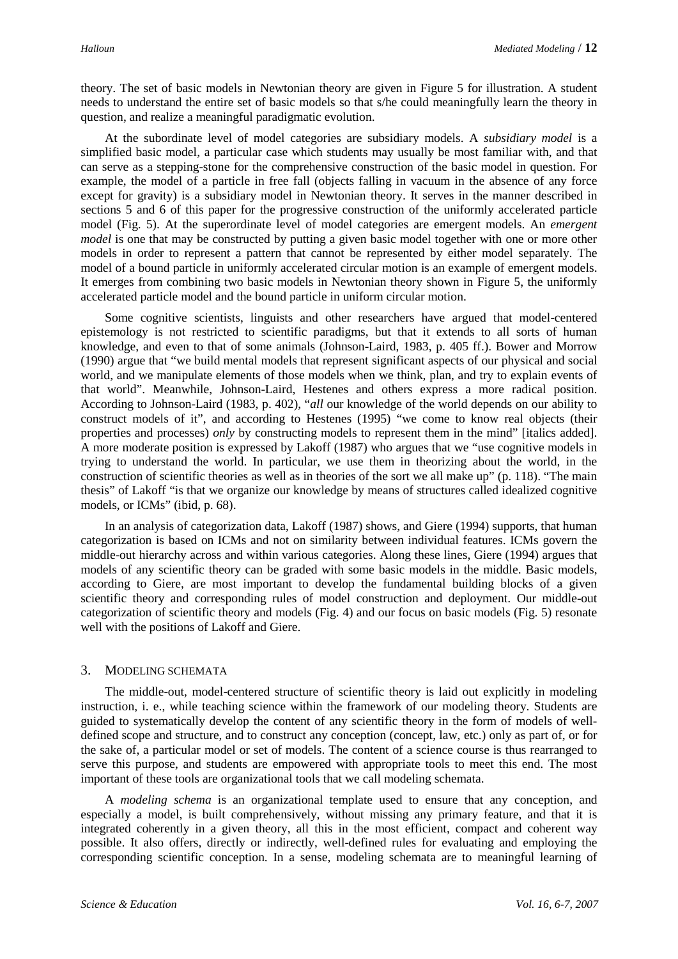theory. The set of basic models in Newtonian theory are given in Figure 5 for illustration. A student needs to understand the entire set of basic models so that s/he could meaningfully learn the theory in question, and realize a meaningful paradigmatic evolution.

At the subordinate level of model categories are subsidiary models. A *subsidiary model* is a simplified basic model, a particular case which students may usually be most familiar with, and that can serve as a stepping-stone for the comprehensive construction of the basic model in question. For example, the model of a particle in free fall (objects falling in vacuum in the absence of any force except for gravity) is a subsidiary model in Newtonian theory. It serves in the manner described in sections 5 and 6 of this paper for the progressive construction of the uniformly accelerated particle model (Fig. 5). At the superordinate level of model categories are emergent models. An *emergent model* is one that may be constructed by putting a given basic model together with one or more other models in order to represent a pattern that cannot be represented by either model separately. The model of a bound particle in uniformly accelerated circular motion is an example of emergent models. It emerges from combining two basic models in Newtonian theory shown in Figure 5, the uniformly accelerated particle model and the bound particle in uniform circular motion.

Some cognitive scientists, linguists and other researchers have argued that model-centered epistemology is not restricted to scientific paradigms, but that it extends to all sorts of human knowledge, and even to that of some animals (Johnson-Laird, 1983, p. 405 ff.). Bower and Morrow (1990) argue that "we build mental models that represent significant aspects of our physical and social world, and we manipulate elements of those models when we think, plan, and try to explain events of that world". Meanwhile, Johnson-Laird, Hestenes and others express a more radical position. According to Johnson-Laird (1983, p. 402), "*all* our knowledge of the world depends on our ability to construct models of it", and according to Hestenes (1995) "we come to know real objects (their properties and processes) *only* by constructing models to represent them in the mind" [italics added]. A more moderate position is expressed by Lakoff (1987) who argues that we "use cognitive models in trying to understand the world. In particular, we use them in theorizing about the world, in the construction of scientific theories as well as in theories of the sort we all make up" (p. 118). "The main thesis" of Lakoff "is that we organize our knowledge by means of structures called idealized cognitive models, or ICMs" (ibid, p. 68).

In an analysis of categorization data, Lakoff (1987) shows, and Giere (1994) supports, that human categorization is based on ICMs and not on similarity between individual features. ICMs govern the middle-out hierarchy across and within various categories. Along these lines, Giere (1994) argues that models of any scientific theory can be graded with some basic models in the middle. Basic models, according to Giere, are most important to develop the fundamental building blocks of a given scientific theory and corresponding rules of model construction and deployment. Our middle-out categorization of scientific theory and models (Fig. 4) and our focus on basic models (Fig. 5) resonate well with the positions of Lakoff and Giere.

#### 3. MODELING SCHEMATA

The middle-out, model-centered structure of scientific theory is laid out explicitly in modeling instruction, i. e., while teaching science within the framework of our modeling theory. Students are guided to systematically develop the content of any scientific theory in the form of models of welldefined scope and structure, and to construct any conception (concept, law, etc.) only as part of, or for the sake of, a particular model or set of models. The content of a science course is thus rearranged to serve this purpose, and students are empowered with appropriate tools to meet this end. The most important of these tools are organizational tools that we call modeling schemata.

A *modeling schema* is an organizational template used to ensure that any conception, and especially a model, is built comprehensively, without missing any primary feature, and that it is integrated coherently in a given theory, all this in the most efficient, compact and coherent way possible. It also offers, directly or indirectly, well-defined rules for evaluating and employing the corresponding scientific conception. In a sense, modeling schemata are to meaningful learning of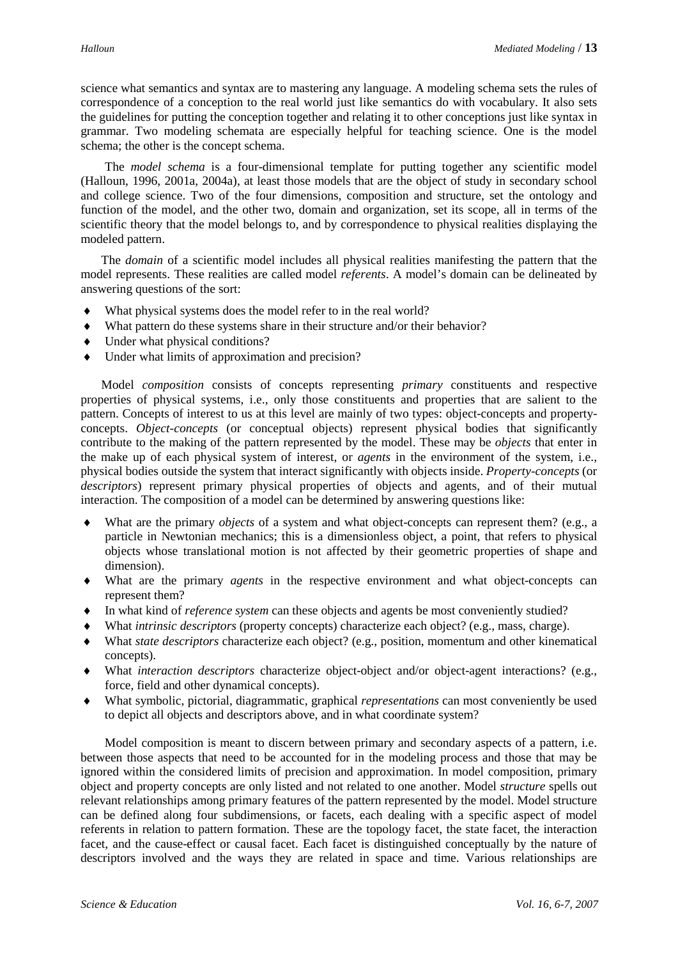science what semantics and syntax are to mastering any language. A modeling schema sets the rules of correspondence of a conception to the real world just like semantics do with vocabulary. It also sets the guidelines for putting the conception together and relating it to other conceptions just like syntax in grammar. Two modeling schemata are especially helpful for teaching science. One is the model schema; the other is the concept schema.

The *model schema* is a four-dimensional template for putting together any scientific model (Halloun, 1996, 2001a, 2004a), at least those models that are the object of study in secondary school and college science. Two of the four dimensions, composition and structure, set the ontology and function of the model, and the other two, domain and organization, set its scope, all in terms of the scientific theory that the model belongs to, and by correspondence to physical realities displaying the modeled pattern.

The *domain* of a scientific model includes all physical realities manifesting the pattern that the model represents. These realities are called model *referents*. A model's domain can be delineated by answering questions of the sort:

- ♦ What physical systems does the model refer to in the real world?
- ♦ What pattern do these systems share in their structure and/or their behavior?
- ♦ Under what physical conditions?
- ♦ Under what limits of approximation and precision?

Model *composition* consists of concepts representing *primary* constituents and respective properties of physical systems, i.e., only those constituents and properties that are salient to the pattern. Concepts of interest to us at this level are mainly of two types: object-concepts and propertyconcepts. *Object-concepts* (or conceptual objects) represent physical bodies that significantly contribute to the making of the pattern represented by the model. These may be *objects* that enter in the make up of each physical system of interest, or *agents* in the environment of the system, i.e., physical bodies outside the system that interact significantly with objects inside. *Property-concepts* (or *descriptors*) represent primary physical properties of objects and agents, and of their mutual interaction. The composition of a model can be determined by answering questions like:

- ♦ What are the primary *objects* of a system and what object-concepts can represent them? (e.g., a particle in Newtonian mechanics; this is a dimensionless object, a point, that refers to physical objects whose translational motion is not affected by their geometric properties of shape and dimension).
- ♦ What are the primary *agents* in the respective environment and what object-concepts can represent them?
- ♦ In what kind of *reference system* can these objects and agents be most conveniently studied?
- What *intrinsic descriptors* (property concepts) characterize each object? (e.g., mass, charge).
- ♦ What *state descriptors* characterize each object? (e.g., position, momentum and other kinematical concepts).
- ♦ What *interaction descriptors* characterize object-object and/or object-agent interactions? (e.g., force, field and other dynamical concepts).
- ♦ What symbolic, pictorial, diagrammatic, graphical *representations* can most conveniently be used to depict all objects and descriptors above, and in what coordinate system?

Model composition is meant to discern between primary and secondary aspects of a pattern, i.e. between those aspects that need to be accounted for in the modeling process and those that may be ignored within the considered limits of precision and approximation. In model composition, primary object and property concepts are only listed and not related to one another. Model *structure* spells out relevant relationships among primary features of the pattern represented by the model. Model structure can be defined along four subdimensions, or facets, each dealing with a specific aspect of model referents in relation to pattern formation. These are the topology facet, the state facet, the interaction facet, and the cause-effect or causal facet. Each facet is distinguished conceptually by the nature of descriptors involved and the ways they are related in space and time. Various relationships are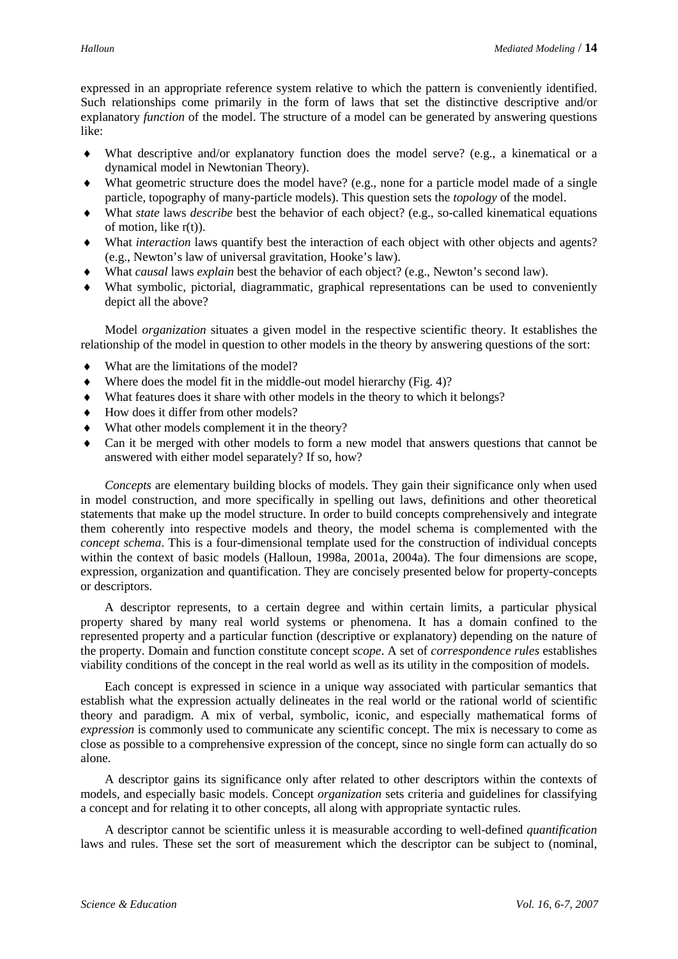expressed in an appropriate reference system relative to which the pattern is conveniently identified. Such relationships come primarily in the form of laws that set the distinctive descriptive and/or explanatory *function* of the model. The structure of a model can be generated by answering questions like:

- ♦ What descriptive and/or explanatory function does the model serve? (e.g., a kinematical or a dynamical model in Newtonian Theory).
- ♦ What geometric structure does the model have? (e.g., none for a particle model made of a single particle, topography of many-particle models). This question sets the *topology* of the model.
- ♦ What *state* laws *describe* best the behavior of each object? (e.g., so-called kinematical equations of motion, like  $r(t)$ ).
- ♦ What *interaction* laws quantify best the interaction of each object with other objects and agents? (e.g., Newton's law of universal gravitation, Hooke's law).
- What *causal* laws *explain* best the behavior of each object? (e.g., Newton's second law).
- ♦ What symbolic, pictorial, diagrammatic, graphical representations can be used to conveniently depict all the above?

Model *organization* situates a given model in the respective scientific theory. It establishes the relationship of the model in question to other models in the theory by answering questions of the sort:

- ♦ What are the limitations of the model?
- Where does the model fit in the middle-out model hierarchy (Fig. 4)?
- ♦ What features does it share with other models in the theory to which it belongs?
- ♦ How does it differ from other models?
- ♦ What other models complement it in the theory?
- Can it be merged with other models to form a new model that answers questions that cannot be answered with either model separately? If so, how?

*Concepts* are elementary building blocks of models. They gain their significance only when used in model construction, and more specifically in spelling out laws, definitions and other theoretical statements that make up the model structure. In order to build concepts comprehensively and integrate them coherently into respective models and theory, the model schema is complemented with the *concept schema*. This is a four-dimensional template used for the construction of individual concepts within the context of basic models (Halloun, 1998a, 2001a, 2004a). The four dimensions are scope, expression, organization and quantification. They are concisely presented below for property-concepts or descriptors.

A descriptor represents, to a certain degree and within certain limits, a particular physical property shared by many real world systems or phenomena. It has a domain confined to the represented property and a particular function (descriptive or explanatory) depending on the nature of the property. Domain and function constitute concept *scope*. A set of *correspondence rules* establishes viability conditions of the concept in the real world as well as its utility in the composition of models.

Each concept is expressed in science in a unique way associated with particular semantics that establish what the expression actually delineates in the real world or the rational world of scientific theory and paradigm. A mix of verbal, symbolic, iconic, and especially mathematical forms of *expression* is commonly used to communicate any scientific concept. The mix is necessary to come as close as possible to a comprehensive expression of the concept, since no single form can actually do so alone.

A descriptor gains its significance only after related to other descriptors within the contexts of models, and especially basic models. Concept *organization* sets criteria and guidelines for classifying a concept and for relating it to other concepts, all along with appropriate syntactic rules.

A descriptor cannot be scientific unless it is measurable according to well-defined *quantification* laws and rules. These set the sort of measurement which the descriptor can be subject to (nominal,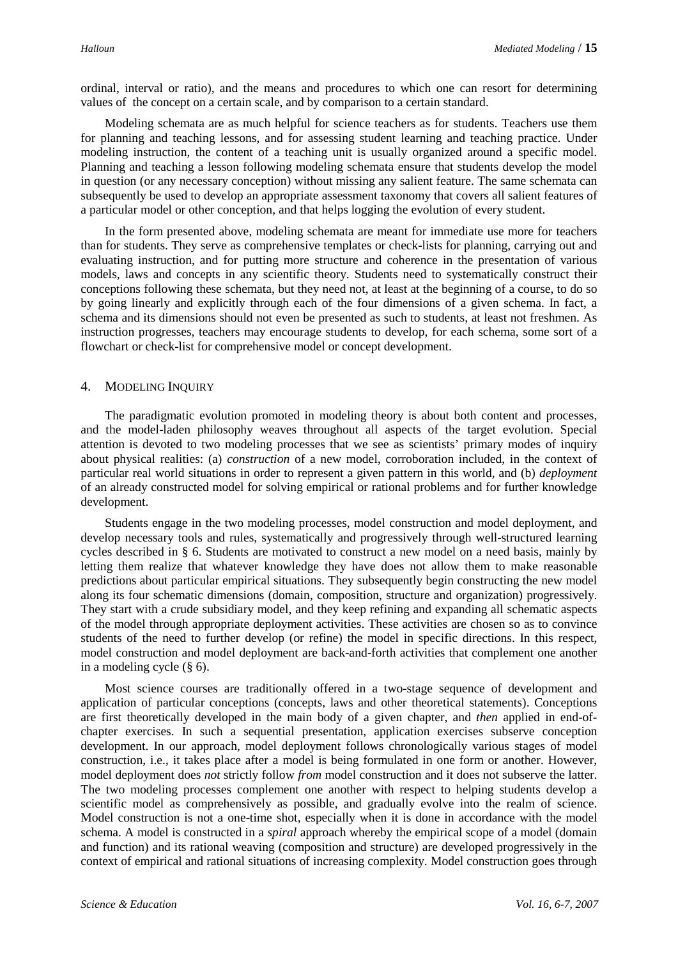ordinal, interval or ratio), and the means and procedures to which one can resort for determining values of the concept on a certain scale, and by comparison to a certain standard.

Modeling schemata are as much helpful for science teachers as for students. Teachers use them for planning and teaching lessons, and for assessing student learning and teaching practice. Under modeling instruction, the content of a teaching unit is usually organized around a specific model. Planning and teaching a lesson following modeling schemata ensure that students develop the model in question (or any necessary conception) without missing any salient feature. The same schemata can subsequently be used to develop an appropriate assessment taxonomy that covers all salient features of a particular model or other conception, and that helps logging the evolution of every student.

In the form presented above, modeling schemata are meant for immediate use more for teachers than for students. They serve as comprehensive templates or check-lists for planning, carrying out and evaluating instruction, and for putting more structure and coherence in the presentation of various models, laws and concepts in any scientific theory. Students need to systematically construct their conceptions following these schemata, but they need not, at least at the beginning of a course, to do so by going linearly and explicitly through each of the four dimensions of a given schema. In fact, a schema and its dimensions should not even be presented as such to students, at least not freshmen. As instruction progresses, teachers may encourage students to develop, for each schema, some sort of a flowchart or check-list for comprehensive model or concept development.

#### 4. MODELING INQUIRY

The paradigmatic evolution promoted in modeling theory is about both content and processes, and the model-laden philosophy weaves throughout all aspects of the target evolution. Special attention is devoted to two modeling processes that we see as scientists' primary modes of inquiry about physical realities: (a) *construction* of a new model, corroboration included, in the context of particular real world situations in order to represent a given pattern in this world, and (b) *deployment* of an already constructed model for solving empirical or rational problems and for further knowledge development.

Students engage in the two modeling processes, model construction and model deployment, and develop necessary tools and rules, systematically and progressively through well-structured learning cycles described in § 6. Students are motivated to construct a new model on a need basis, mainly by letting them realize that whatever knowledge they have does not allow them to make reasonable predictions about particular empirical situations. They subsequently begin constructing the new model along its four schematic dimensions (domain, composition, structure and organization) progressively. They start with a crude subsidiary model, and they keep refining and expanding all schematic aspects of the model through appropriate deployment activities. These activities are chosen so as to convince students of the need to further develop (or refine) the model in specific directions. In this respect, model construction and model deployment are back-and-forth activities that complement one another in a modeling cycle (§ 6).

Most science courses are traditionally offered in a two-stage sequence of development and application of particular conceptions (concepts, laws and other theoretical statements). Conceptions are first theoretically developed in the main body of a given chapter, and *then* applied in end-ofchapter exercises. In such a sequential presentation, application exercises subserve conception development. In our approach, model deployment follows chronologically various stages of model construction, i.e., it takes place after a model is being formulated in one form or another. However, model deployment does *not* strictly follow *from* model construction and it does not subserve the latter. The two modeling processes complement one another with respect to helping students develop a scientific model as comprehensively as possible, and gradually evolve into the realm of science. Model construction is not a one-time shot, especially when it is done in accordance with the model schema. A model is constructed in a *spiral* approach whereby the empirical scope of a model (domain and function) and its rational weaving (composition and structure) are developed progressively in the context of empirical and rational situations of increasing complexity. Model construction goes through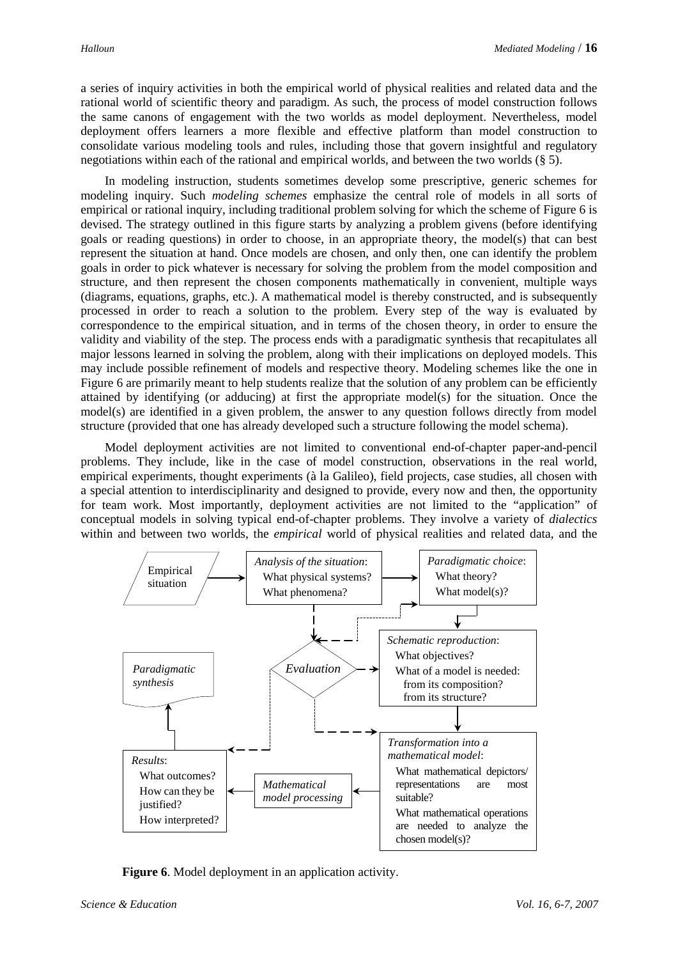a series of inquiry activities in both the empirical world of physical realities and related data and the rational world of scientific theory and paradigm. As such, the process of model construction follows the same canons of engagement with the two worlds as model deployment. Nevertheless, model deployment offers learners a more flexible and effective platform than model construction to consolidate various modeling tools and rules, including those that govern insightful and regulatory negotiations within each of the rational and empirical worlds, and between the two worlds (§ 5).

In modeling instruction, students sometimes develop some prescriptive, generic schemes for modeling inquiry. Such *modeling schemes* emphasize the central role of models in all sorts of empirical or rational inquiry, including traditional problem solving for which the scheme of Figure 6 is devised. The strategy outlined in this figure starts by analyzing a problem givens (before identifying goals or reading questions) in order to choose, in an appropriate theory, the model(s) that can best represent the situation at hand. Once models are chosen, and only then, one can identify the problem goals in order to pick whatever is necessary for solving the problem from the model composition and structure, and then represent the chosen components mathematically in convenient, multiple ways (diagrams, equations, graphs, etc.). A mathematical model is thereby constructed, and is subsequently processed in order to reach a solution to the problem. Every step of the way is evaluated by correspondence to the empirical situation, and in terms of the chosen theory, in order to ensure the validity and viability of the step. The process ends with a paradigmatic synthesis that recapitulates all major lessons learned in solving the problem, along with their implications on deployed models. This may include possible refinement of models and respective theory. Modeling schemes like the one in Figure 6 are primarily meant to help students realize that the solution of any problem can be efficiently attained by identifying (or adducing) at first the appropriate model(s) for the situation. Once the model(s) are identified in a given problem, the answer to any question follows directly from model structure (provided that one has already developed such a structure following the model schema).

Model deployment activities are not limited to conventional end-of-chapter paper-and-pencil problems. They include, like in the case of model construction, observations in the real world, empirical experiments, thought experiments (à la Galileo), field projects, case studies, all chosen with a special attention to interdisciplinarity and designed to provide, every now and then, the opportunity for team work. Most importantly, deployment activities are not limited to the "application" of conceptual models in solving typical end-of-chapter problems. They involve a variety of *dialectics* within and between two worlds, the *empirical* world of physical realities and related data, and the



**Figure 6**. Model deployment in an application activity.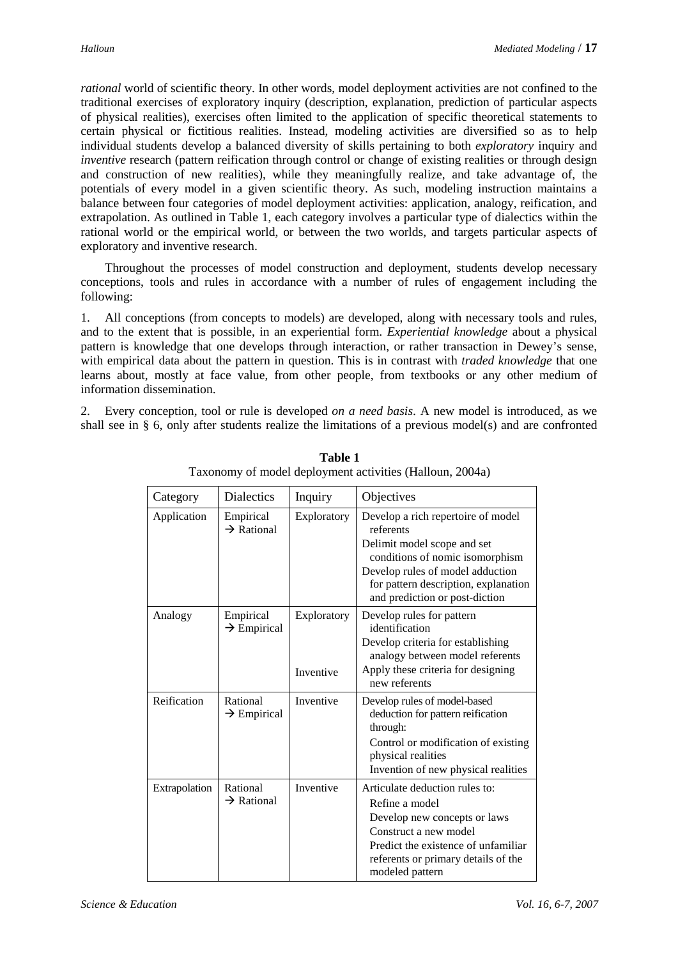*rational* world of scientific theory. In other words, model deployment activities are not confined to the traditional exercises of exploratory inquiry (description, explanation, prediction of particular aspects of physical realities), exercises often limited to the application of specific theoretical statements to certain physical or fictitious realities. Instead, modeling activities are diversified so as to help individual students develop a balanced diversity of skills pertaining to both *exploratory* inquiry and *inventive* research (pattern reification through control or change of existing realities or through design and construction of new realities), while they meaningfully realize, and take advantage of, the potentials of every model in a given scientific theory. As such, modeling instruction maintains a balance between four categories of model deployment activities: application, analogy, reification, and extrapolation. As outlined in Table 1, each category involves a particular type of dialectics within the rational world or the empirical world, or between the two worlds, and targets particular aspects of exploratory and inventive research.

Throughout the processes of model construction and deployment, students develop necessary conceptions, tools and rules in accordance with a number of rules of engagement including the following:

1. All conceptions (from concepts to models) are developed, along with necessary tools and rules, and to the extent that is possible, in an experiential form. *Experiential knowledge* about a physical pattern is knowledge that one develops through interaction, or rather transaction in Dewey's sense, with empirical data about the pattern in question. This is in contrast with *traded knowledge* that one learns about, mostly at face value, from other people, from textbooks or any other medium of information dissemination.

2. Every conception, tool or rule is developed *on a need basis*. A new model is introduced, as we shall see in § 6, only after students realize the limitations of a previous model(s) and are confronted

| Category      | <b>Dialectics</b>                    | Inquiry                  | Objectives                                                                                                                                                                                                                      |
|---------------|--------------------------------------|--------------------------|---------------------------------------------------------------------------------------------------------------------------------------------------------------------------------------------------------------------------------|
| Application   | Empirical<br>$\rightarrow$ Rational  | Exploratory              | Develop a rich repertoire of model<br>referents<br>Delimit model scope and set<br>conditions of nomic isomorphism<br>Develop rules of model adduction<br>for pattern description, explanation<br>and prediction or post-diction |
| Analogy       | Empirical<br>$\rightarrow$ Empirical | Exploratory<br>Inventive | Develop rules for pattern<br>identification<br>Develop criteria for establishing<br>analogy between model referents<br>Apply these criteria for designing<br>new referents                                                      |
| Reification   | Rational<br>$\rightarrow$ Empirical  | Inventive                | Develop rules of model-based<br>deduction for pattern reification<br>through:<br>Control or modification of existing<br>physical realities<br>Invention of new physical realities                                               |
| Extrapolation | Rational<br>$\rightarrow$ Rational   | Inventive                | Articulate deduction rules to:<br>Refine a model<br>Develop new concepts or laws<br>Construct a new model<br>Predict the existence of unfamiliar<br>referents or primary details of the<br>modeled pattern                      |

**Table 1** Taxonomy of model deployment activities (Halloun, 2004a)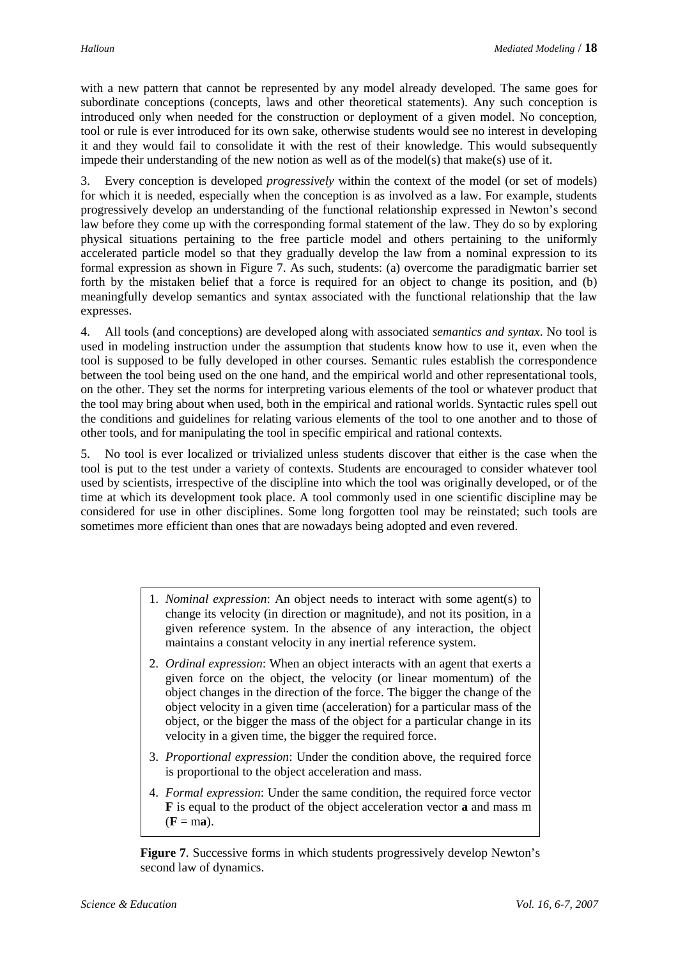with a new pattern that cannot be represented by any model already developed. The same goes for subordinate conceptions (concepts, laws and other theoretical statements). Any such conception is introduced only when needed for the construction or deployment of a given model. No conception, tool or rule is ever introduced for its own sake, otherwise students would see no interest in developing it and they would fail to consolidate it with the rest of their knowledge. This would subsequently impede their understanding of the new notion as well as of the model(s) that make(s) use of it.

3. Every conception is developed *progressively* within the context of the model (or set of models) for which it is needed, especially when the conception is as involved as a law. For example, students progressively develop an understanding of the functional relationship expressed in Newton's second law before they come up with the corresponding formal statement of the law. They do so by exploring physical situations pertaining to the free particle model and others pertaining to the uniformly accelerated particle model so that they gradually develop the law from a nominal expression to its formal expression as shown in Figure 7. As such, students: (a) overcome the paradigmatic barrier set forth by the mistaken belief that a force is required for an object to change its position, and (b) meaningfully develop semantics and syntax associated with the functional relationship that the law expresses.

4. All tools (and conceptions) are developed along with associated *semantics and syntax*. No tool is used in modeling instruction under the assumption that students know how to use it, even when the tool is supposed to be fully developed in other courses. Semantic rules establish the correspondence between the tool being used on the one hand, and the empirical world and other representational tools, on the other. They set the norms for interpreting various elements of the tool or whatever product that the tool may bring about when used, both in the empirical and rational worlds. Syntactic rules spell out the conditions and guidelines for relating various elements of the tool to one another and to those of other tools, and for manipulating the tool in specific empirical and rational contexts.

5. No tool is ever localized or trivialized unless students discover that either is the case when the tool is put to the test under a variety of contexts. Students are encouraged to consider whatever tool used by scientists, irrespective of the discipline into which the tool was originally developed, or of the time at which its development took place. A tool commonly used in one scientific discipline may be considered for use in other disciplines. Some long forgotten tool may be reinstated; such tools are sometimes more efficient than ones that are nowadays being adopted and even revered.

- 1. *Nominal expression*: An object needs to interact with some agent(s) to change its velocity (in direction or magnitude), and not its position, in a given reference system. In the absence of any interaction, the object maintains a constant velocity in any inertial reference system.
- 2. *Ordinal expression*: When an object interacts with an agent that exerts a given force on the object, the velocity (or linear momentum) of the object changes in the direction of the force. The bigger the change of the object velocity in a given time (acceleration) for a particular mass of the object, or the bigger the mass of the object for a particular change in its velocity in a given time, the bigger the required force.
- 3. *Proportional expression*: Under the condition above, the required force is proportional to the object acceleration and mass.
- 4. *Formal expression*: Under the same condition, the required force vector **F** is equal to the product of the object acceleration vector **a** and mass m  $(F = ma)$ .

**Figure 7**. Successive forms in which students progressively develop Newton's second law of dynamics.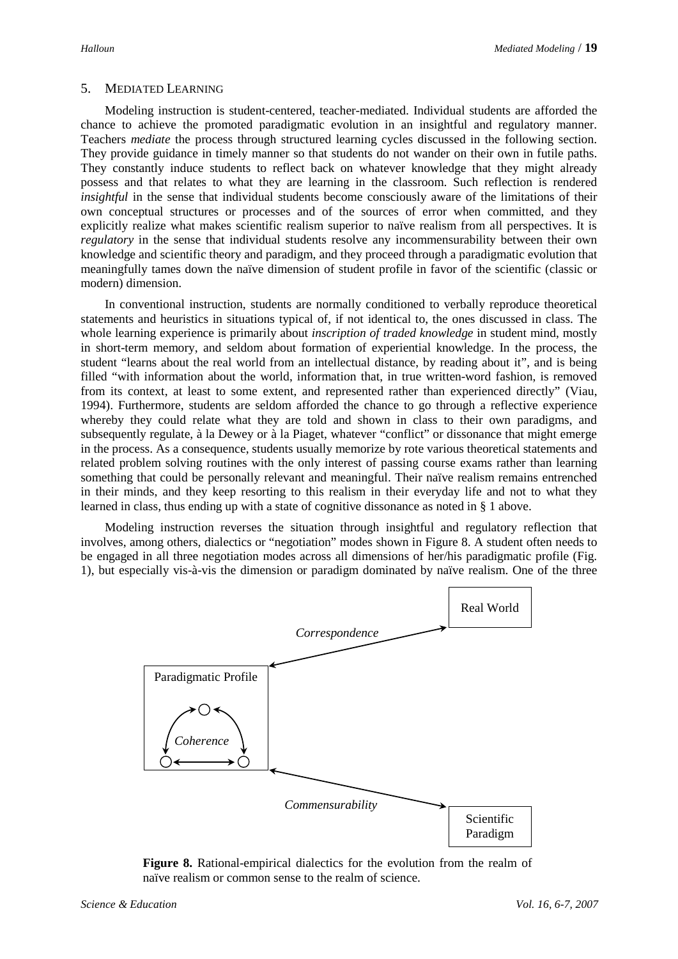### 5. MEDIATED LEARNING

Modeling instruction is student-centered, teacher-mediated. Individual students are afforded the chance to achieve the promoted paradigmatic evolution in an insightful and regulatory manner. Teachers *mediate* the process through structured learning cycles discussed in the following section. They provide guidance in timely manner so that students do not wander on their own in futile paths. They constantly induce students to reflect back on whatever knowledge that they might already possess and that relates to what they are learning in the classroom. Such reflection is rendered *insightful* in the sense that individual students become consciously aware of the limitations of their own conceptual structures or processes and of the sources of error when committed, and they explicitly realize what makes scientific realism superior to naïve realism from all perspectives. It is *regulatory* in the sense that individual students resolve any incommensurability between their own knowledge and scientific theory and paradigm, and they proceed through a paradigmatic evolution that meaningfully tames down the naïve dimension of student profile in favor of the scientific (classic or modern) dimension.

In conventional instruction, students are normally conditioned to verbally reproduce theoretical statements and heuristics in situations typical of, if not identical to, the ones discussed in class. The whole learning experience is primarily about *inscription of traded knowledge* in student mind, mostly in short-term memory, and seldom about formation of experiential knowledge. In the process, the student "learns about the real world from an intellectual distance, by reading about it", and is being filled "with information about the world, information that, in true written-word fashion, is removed from its context, at least to some extent, and represented rather than experienced directly" (Viau, 1994). Furthermore, students are seldom afforded the chance to go through a reflective experience whereby they could relate what they are told and shown in class to their own paradigms, and subsequently regulate, à la Dewey or à la Piaget, whatever "conflict" or dissonance that might emerge in the process. As a consequence, students usually memorize by rote various theoretical statements and related problem solving routines with the only interest of passing course exams rather than learning something that could be personally relevant and meaningful. Their naïve realism remains entrenched in their minds, and they keep resorting to this realism in their everyday life and not to what they learned in class, thus ending up with a state of cognitive dissonance as noted in § 1 above.

Modeling instruction reverses the situation through insightful and regulatory reflection that involves, among others, dialectics or "negotiation" modes shown in Figure 8. A student often needs to be engaged in all three negotiation modes across all dimensions of her/his paradigmatic profile (Fig. 1), but especially vis-à-vis the dimension or paradigm dominated by naïve realism. One of the three



**Figure 8.** Rational-empirical dialectics for the evolution from the realm of naïve realism or common sense to the realm of science.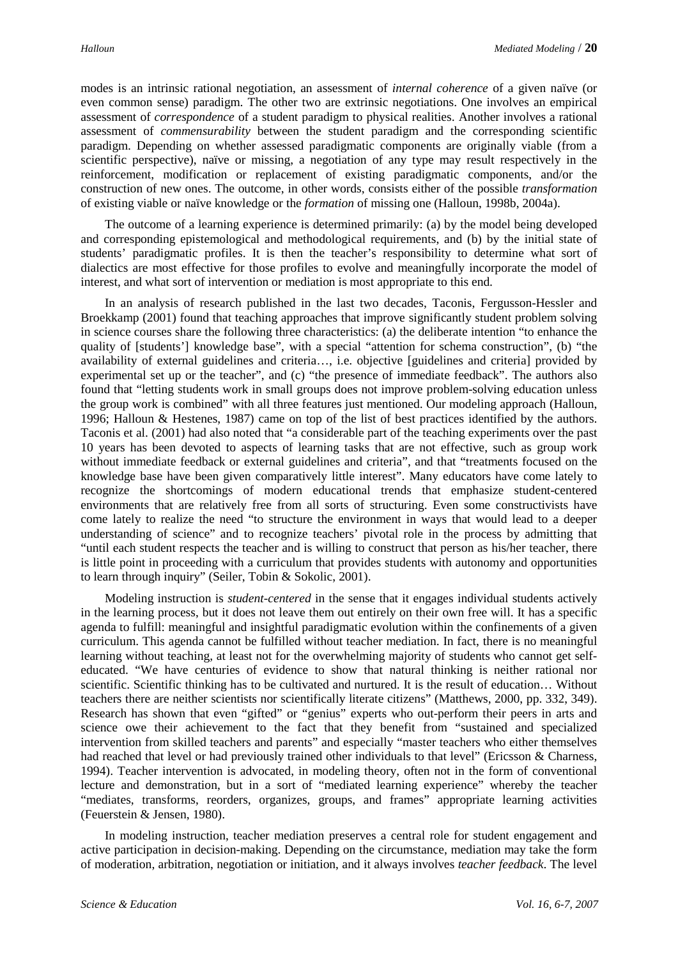modes is an intrinsic rational negotiation, an assessment of *internal coherence* of a given naïve (or even common sense) paradigm. The other two are extrinsic negotiations. One involves an empirical assessment of *correspondence* of a student paradigm to physical realities. Another involves a rational assessment of *commensurability* between the student paradigm and the corresponding scientific paradigm. Depending on whether assessed paradigmatic components are originally viable (from a scientific perspective), naïve or missing, a negotiation of any type may result respectively in the reinforcement, modification or replacement of existing paradigmatic components, and/or the construction of new ones. The outcome, in other words, consists either of the possible *transformation* of existing viable or naïve knowledge or the *formation* of missing one (Halloun, 1998b, 2004a).

The outcome of a learning experience is determined primarily: (a) by the model being developed and corresponding epistemological and methodological requirements, and (b) by the initial state of students' paradigmatic profiles. It is then the teacher's responsibility to determine what sort of dialectics are most effective for those profiles to evolve and meaningfully incorporate the model of interest, and what sort of intervention or mediation is most appropriate to this end.

In an analysis of research published in the last two decades, Taconis, Fergusson-Hessler and Broekkamp (2001) found that teaching approaches that improve significantly student problem solving in science courses share the following three characteristics: (a) the deliberate intention "to enhance the quality of [students'] knowledge base", with a special "attention for schema construction", (b) "the availability of external guidelines and criteria…, i.e. objective [guidelines and criteria] provided by experimental set up or the teacher", and (c) "the presence of immediate feedback". The authors also found that "letting students work in small groups does not improve problem-solving education unless the group work is combined" with all three features just mentioned. Our modeling approach (Halloun, 1996; Halloun & Hestenes, 1987) came on top of the list of best practices identified by the authors. Taconis et al. (2001) had also noted that "a considerable part of the teaching experiments over the past 10 years has been devoted to aspects of learning tasks that are not effective, such as group work without immediate feedback or external guidelines and criteria", and that "treatments focused on the knowledge base have been given comparatively little interest". Many educators have come lately to recognize the shortcomings of modern educational trends that emphasize student-centered environments that are relatively free from all sorts of structuring. Even some constructivists have come lately to realize the need "to structure the environment in ways that would lead to a deeper understanding of science" and to recognize teachers' pivotal role in the process by admitting that "until each student respects the teacher and is willing to construct that person as his/her teacher, there is little point in proceeding with a curriculum that provides students with autonomy and opportunities to learn through inquiry" (Seiler, Tobin & Sokolic, 2001).

Modeling instruction is *student-centered* in the sense that it engages individual students actively in the learning process, but it does not leave them out entirely on their own free will. It has a specific agenda to fulfill: meaningful and insightful paradigmatic evolution within the confinements of a given curriculum. This agenda cannot be fulfilled without teacher mediation. In fact, there is no meaningful learning without teaching, at least not for the overwhelming majority of students who cannot get selfeducated. "We have centuries of evidence to show that natural thinking is neither rational nor scientific. Scientific thinking has to be cultivated and nurtured. It is the result of education… Without teachers there are neither scientists nor scientifically literate citizens" (Matthews, 2000, pp. 332, 349). Research has shown that even "gifted" or "genius" experts who out-perform their peers in arts and science owe their achievement to the fact that they benefit from "sustained and specialized intervention from skilled teachers and parents" and especially "master teachers who either themselves had reached that level or had previously trained other individuals to that level" (Ericsson & Charness, 1994). Teacher intervention is advocated, in modeling theory, often not in the form of conventional lecture and demonstration, but in a sort of "mediated learning experience" whereby the teacher "mediates, transforms, reorders, organizes, groups, and frames" appropriate learning activities (Feuerstein & Jensen, 1980).

In modeling instruction, teacher mediation preserves a central role for student engagement and active participation in decision-making. Depending on the circumstance, mediation may take the form of moderation, arbitration, negotiation or initiation, and it always involves *teacher feedback*. The level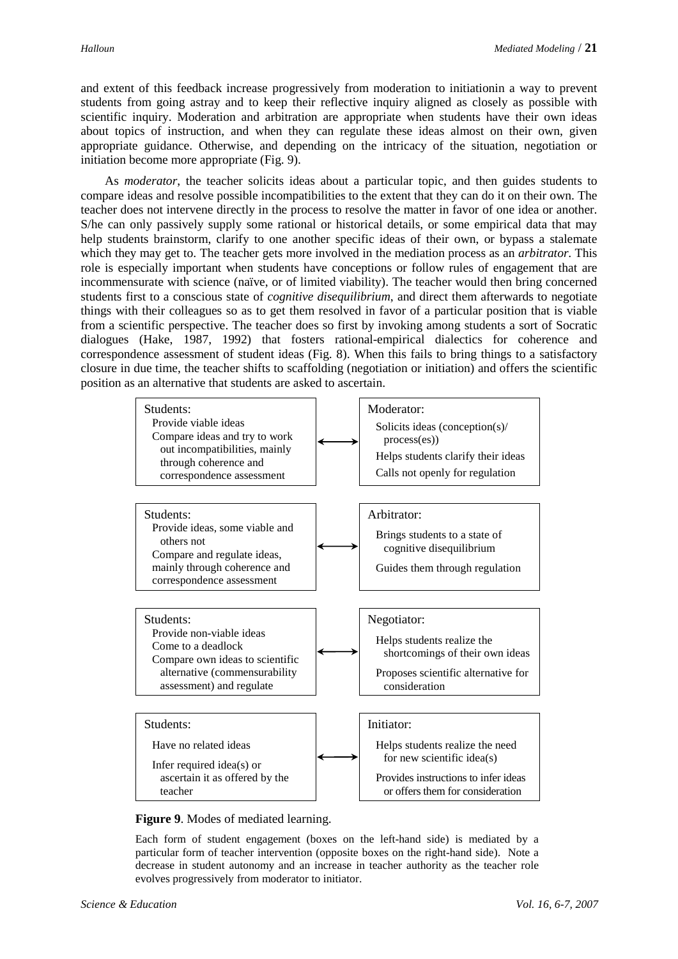and extent of this feedback increase progressively from moderation to initiationin a way to prevent students from going astray and to keep their reflective inquiry aligned as closely as possible with scientific inquiry. Moderation and arbitration are appropriate when students have their own ideas about topics of instruction, and when they can regulate these ideas almost on their own, given appropriate guidance. Otherwise, and depending on the intricacy of the situation, negotiation or initiation become more appropriate (Fig. 9).

As *moderator*, the teacher solicits ideas about a particular topic, and then guides students to compare ideas and resolve possible incompatibilities to the extent that they can do it on their own. The teacher does not intervene directly in the process to resolve the matter in favor of one idea or another. S/he can only passively supply some rational or historical details, or some empirical data that may help students brainstorm, clarify to one another specific ideas of their own, or bypass a stalemate which they may get to. The teacher gets more involved in the mediation process as an *arbitrator*. This role is especially important when students have conceptions or follow rules of engagement that are incommensurate with science (naïve, or of limited viability). The teacher would then bring concerned students first to a conscious state of *cognitive disequilibrium*, and direct them afterwards to negotiate things with their colleagues so as to get them resolved in favor of a particular position that is viable from a scientific perspective. The teacher does so first by invoking among students a sort of Socratic dialogues (Hake, 1987, 1992) that fosters rational-empirical dialectics for coherence and correspondence assessment of student ideas (Fig. 8). When this fails to bring things to a satisfactory closure in due time, the teacher shifts to scaffolding (negotiation or initiation) and offers the scientific position as an alternative that students are asked to ascertain.



**Figure 9**. Modes of mediated learning.

Each form of student engagement (boxes on the left-hand side) is mediated by a particular form of teacher intervention (opposite boxes on the right-hand side). Note a decrease in student autonomy and an increase in teacher authority as the teacher role evolves progressively from moderator to initiator.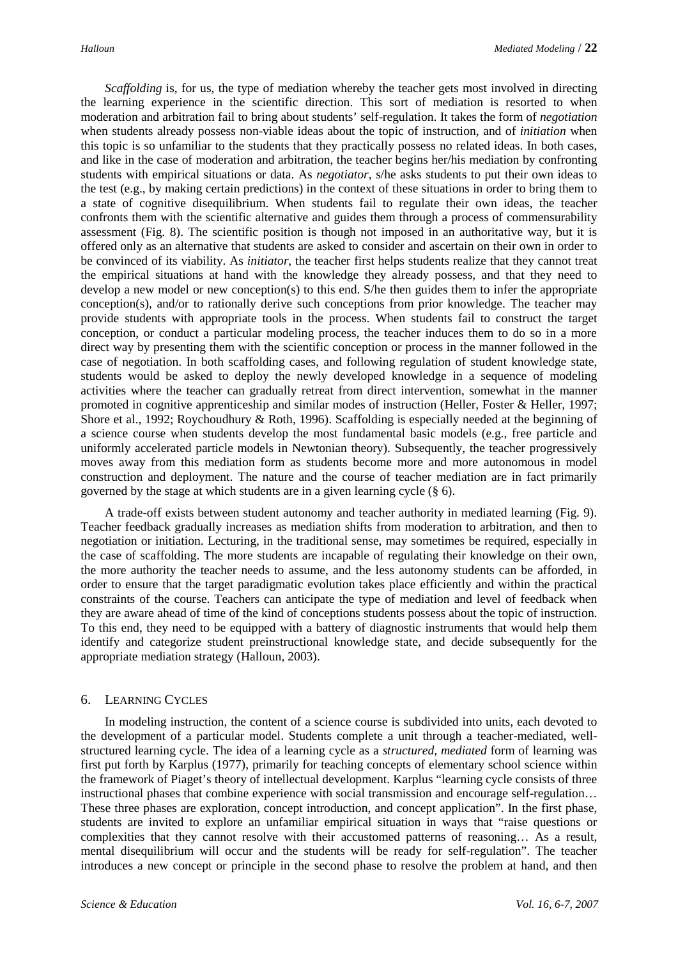*Scaffolding* is, for us, the type of mediation whereby the teacher gets most involved in directing the learning experience in the scientific direction. This sort of mediation is resorted to when moderation and arbitration fail to bring about students' self-regulation. It takes the form of *negotiation* when students already possess non-viable ideas about the topic of instruction, and of *initiation* when this topic is so unfamiliar to the students that they practically possess no related ideas. In both cases, and like in the case of moderation and arbitration, the teacher begins her/his mediation by confronting students with empirical situations or data. As *negotiator*, s/he asks students to put their own ideas to the test (e.g., by making certain predictions) in the context of these situations in order to bring them to a state of cognitive disequilibrium. When students fail to regulate their own ideas, the teacher confronts them with the scientific alternative and guides them through a process of commensurability assessment (Fig. 8). The scientific position is though not imposed in an authoritative way, but it is offered only as an alternative that students are asked to consider and ascertain on their own in order to be convinced of its viability. As *initiator*, the teacher first helps students realize that they cannot treat the empirical situations at hand with the knowledge they already possess, and that they need to develop a new model or new conception(s) to this end. S/he then guides them to infer the appropriate conception(s), and/or to rationally derive such conceptions from prior knowledge. The teacher may provide students with appropriate tools in the process. When students fail to construct the target conception, or conduct a particular modeling process, the teacher induces them to do so in a more direct way by presenting them with the scientific conception or process in the manner followed in the case of negotiation. In both scaffolding cases, and following regulation of student knowledge state, students would be asked to deploy the newly developed knowledge in a sequence of modeling activities where the teacher can gradually retreat from direct intervention, somewhat in the manner promoted in cognitive apprenticeship and similar modes of instruction (Heller, Foster & Heller, 1997; Shore et al., 1992; Roychoudhury & Roth, 1996). Scaffolding is especially needed at the beginning of a science course when students develop the most fundamental basic models (e.g., free particle and uniformly accelerated particle models in Newtonian theory). Subsequently, the teacher progressively moves away from this mediation form as students become more and more autonomous in model construction and deployment. The nature and the course of teacher mediation are in fact primarily governed by the stage at which students are in a given learning cycle (§ 6).

A trade-off exists between student autonomy and teacher authority in mediated learning (Fig. 9). Teacher feedback gradually increases as mediation shifts from moderation to arbitration, and then to negotiation or initiation. Lecturing, in the traditional sense, may sometimes be required, especially in the case of scaffolding. The more students are incapable of regulating their knowledge on their own, the more authority the teacher needs to assume, and the less autonomy students can be afforded, in order to ensure that the target paradigmatic evolution takes place efficiently and within the practical constraints of the course. Teachers can anticipate the type of mediation and level of feedback when they are aware ahead of time of the kind of conceptions students possess about the topic of instruction. To this end, they need to be equipped with a battery of diagnostic instruments that would help them identify and categorize student preinstructional knowledge state, and decide subsequently for the appropriate mediation strategy (Halloun, 2003).

#### 6. LEARNING CYCLES

In modeling instruction, the content of a science course is subdivided into units, each devoted to the development of a particular model. Students complete a unit through a teacher-mediated, wellstructured learning cycle. The idea of a learning cycle as a *structured, mediated* form of learning was first put forth by Karplus (1977), primarily for teaching concepts of elementary school science within the framework of Piaget's theory of intellectual development. Karplus "learning cycle consists of three instructional phases that combine experience with social transmission and encourage self-regulation… These three phases are exploration, concept introduction, and concept application". In the first phase, students are invited to explore an unfamiliar empirical situation in ways that "raise questions or complexities that they cannot resolve with their accustomed patterns of reasoning… As a result, mental disequilibrium will occur and the students will be ready for self-regulation". The teacher introduces a new concept or principle in the second phase to resolve the problem at hand, and then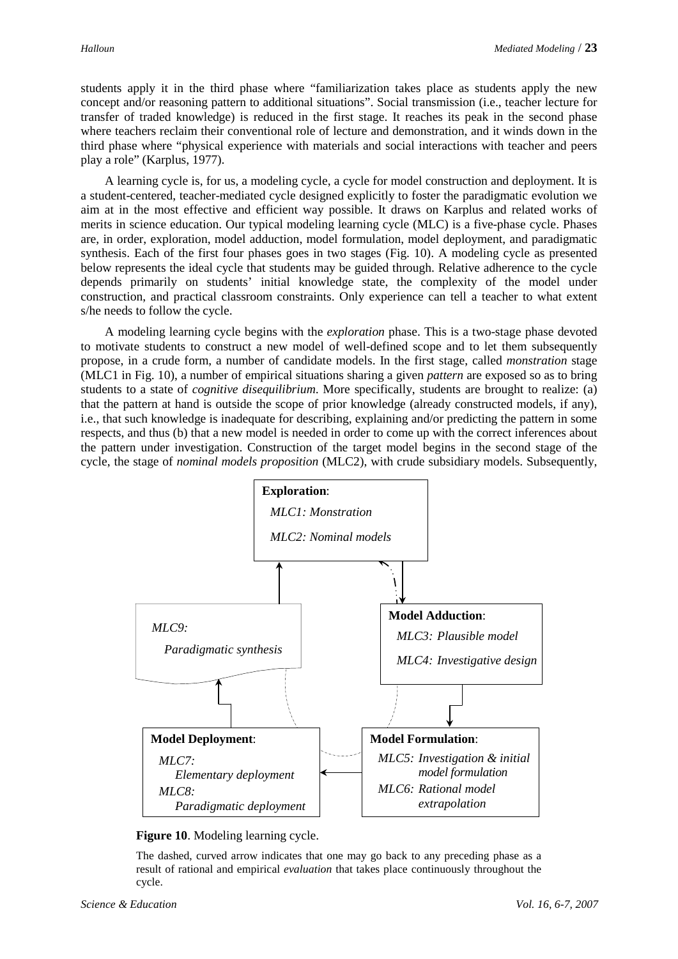students apply it in the third phase where "familiarization takes place as students apply the new concept and/or reasoning pattern to additional situations". Social transmission (i.e., teacher lecture for transfer of traded knowledge) is reduced in the first stage. It reaches its peak in the second phase where teachers reclaim their conventional role of lecture and demonstration, and it winds down in the third phase where "physical experience with materials and social interactions with teacher and peers play a role" (Karplus, 1977).

A learning cycle is, for us, a modeling cycle, a cycle for model construction and deployment. It is a student-centered, teacher-mediated cycle designed explicitly to foster the paradigmatic evolution we aim at in the most effective and efficient way possible. It draws on Karplus and related works of merits in science education. Our typical modeling learning cycle (MLC) is a five-phase cycle. Phases are, in order, exploration, model adduction, model formulation, model deployment, and paradigmatic synthesis. Each of the first four phases goes in two stages (Fig. 10). A modeling cycle as presented below represents the ideal cycle that students may be guided through. Relative adherence to the cycle depends primarily on students' initial knowledge state, the complexity of the model under construction, and practical classroom constraints. Only experience can tell a teacher to what extent s/he needs to follow the cycle.

A modeling learning cycle begins with the *exploration* phase. This is a two-stage phase devoted to motivate students to construct a new model of well-defined scope and to let them subsequently propose, in a crude form, a number of candidate models. In the first stage, called *monstration* stage (MLC1 in Fig. 10), a number of empirical situations sharing a given *pattern* are exposed so as to bring students to a state of *cognitive disequilibrium*. More specifically, students are brought to realize: (a) that the pattern at hand is outside the scope of prior knowledge (already constructed models, if any), i.e., that such knowledge is inadequate for describing, explaining and/or predicting the pattern in some respects, and thus (b) that a new model is needed in order to come up with the correct inferences about the pattern under investigation. Construction of the target model begins in the second stage of the cycle, the stage of *nominal models proposition* (MLC2), with crude subsidiary models. Subsequently,





The dashed, curved arrow indicates that one may go back to any preceding phase as a result of rational and empirical *evaluation* that takes place continuously throughout the cycle.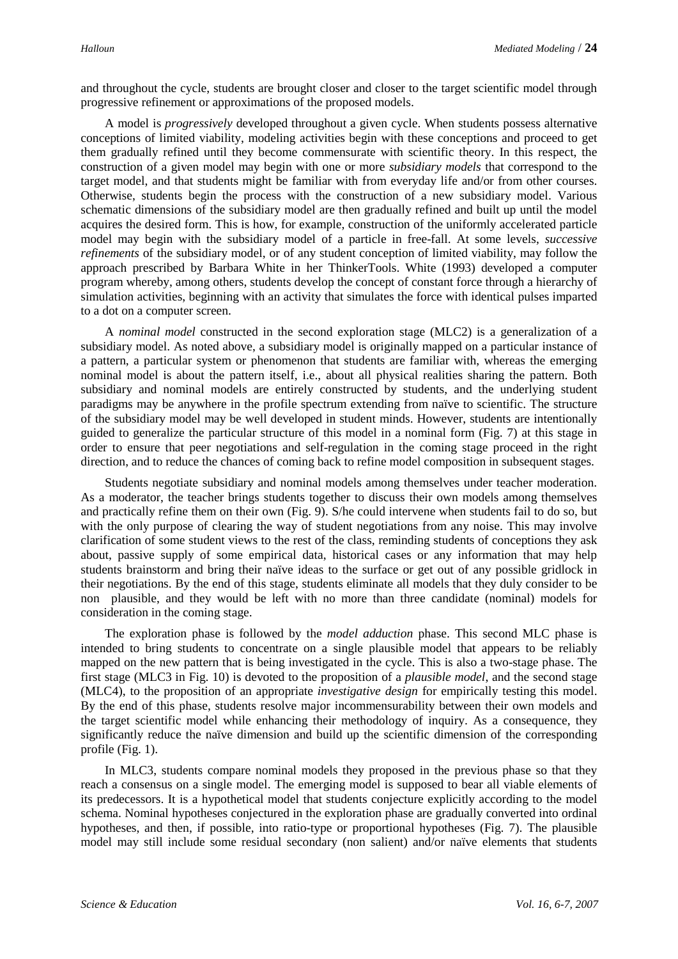and throughout the cycle, students are brought closer and closer to the target scientific model through progressive refinement or approximations of the proposed models.

A model is *progressively* developed throughout a given cycle. When students possess alternative conceptions of limited viability, modeling activities begin with these conceptions and proceed to get them gradually refined until they become commensurate with scientific theory. In this respect, the construction of a given model may begin with one or more *subsidiary models* that correspond to the target model, and that students might be familiar with from everyday life and/or from other courses. Otherwise, students begin the process with the construction of a new subsidiary model. Various schematic dimensions of the subsidiary model are then gradually refined and built up until the model acquires the desired form. This is how, for example, construction of the uniformly accelerated particle model may begin with the subsidiary model of a particle in free-fall. At some levels, *successive refinements* of the subsidiary model, or of any student conception of limited viability, may follow the approach prescribed by Barbara White in her ThinkerTools. White (1993) developed a computer program whereby, among others, students develop the concept of constant force through a hierarchy of simulation activities, beginning with an activity that simulates the force with identical pulses imparted to a dot on a computer screen.

A *nominal model* constructed in the second exploration stage (MLC2) is a generalization of a subsidiary model. As noted above, a subsidiary model is originally mapped on a particular instance of a pattern, a particular system or phenomenon that students are familiar with, whereas the emerging nominal model is about the pattern itself, i.e., about all physical realities sharing the pattern. Both subsidiary and nominal models are entirely constructed by students, and the underlying student paradigms may be anywhere in the profile spectrum extending from naïve to scientific. The structure of the subsidiary model may be well developed in student minds. However, students are intentionally guided to generalize the particular structure of this model in a nominal form (Fig. 7) at this stage in order to ensure that peer negotiations and self-regulation in the coming stage proceed in the right direction, and to reduce the chances of coming back to refine model composition in subsequent stages.

Students negotiate subsidiary and nominal models among themselves under teacher moderation. As a moderator, the teacher brings students together to discuss their own models among themselves and practically refine them on their own (Fig. 9). S/he could intervene when students fail to do so, but with the only purpose of clearing the way of student negotiations from any noise. This may involve clarification of some student views to the rest of the class, reminding students of conceptions they ask about, passive supply of some empirical data, historical cases or any information that may help students brainstorm and bring their naïve ideas to the surface or get out of any possible gridlock in their negotiations. By the end of this stage, students eliminate all models that they duly consider to be non plausible, and they would be left with no more than three candidate (nominal) models for consideration in the coming stage.

The exploration phase is followed by the *model adduction* phase. This second MLC phase is intended to bring students to concentrate on a single plausible model that appears to be reliably mapped on the new pattern that is being investigated in the cycle. This is also a two-stage phase. The first stage (MLC3 in Fig. 10) is devoted to the proposition of a *plausible model*, and the second stage (MLC4), to the proposition of an appropriate *investigative design* for empirically testing this model. By the end of this phase, students resolve major incommensurability between their own models and the target scientific model while enhancing their methodology of inquiry. As a consequence, they significantly reduce the naïve dimension and build up the scientific dimension of the corresponding profile (Fig. 1).

In MLC3, students compare nominal models they proposed in the previous phase so that they reach a consensus on a single model. The emerging model is supposed to bear all viable elements of its predecessors. It is a hypothetical model that students conjecture explicitly according to the model schema. Nominal hypotheses conjectured in the exploration phase are gradually converted into ordinal hypotheses, and then, if possible, into ratio-type or proportional hypotheses (Fig. 7). The plausible model may still include some residual secondary (non salient) and/or naïve elements that students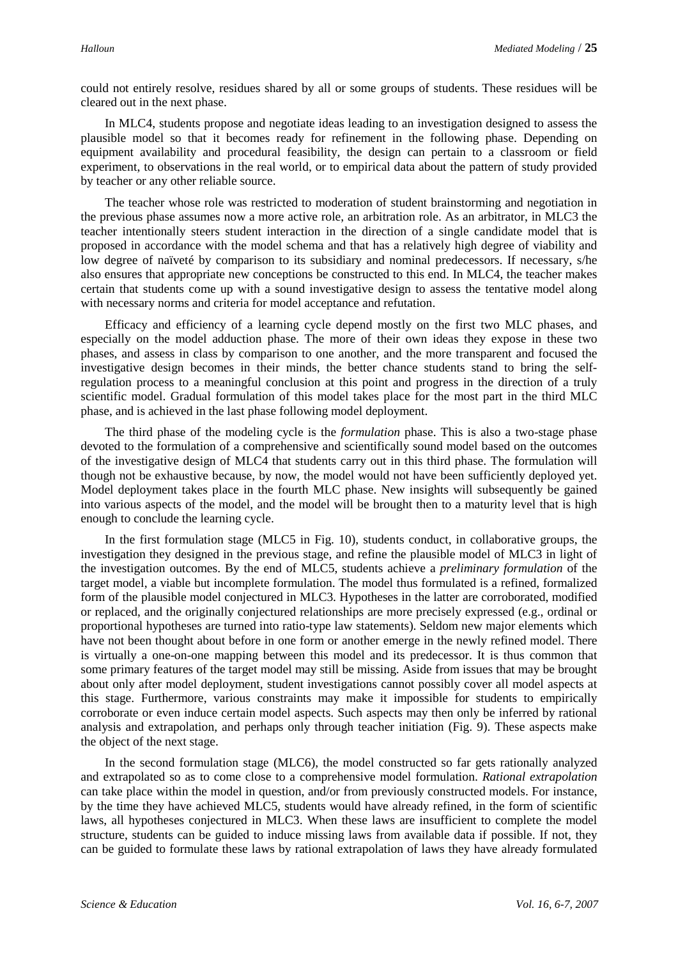could not entirely resolve, residues shared by all or some groups of students. These residues will be cleared out in the next phase.

In MLC4, students propose and negotiate ideas leading to an investigation designed to assess the plausible model so that it becomes ready for refinement in the following phase. Depending on equipment availability and procedural feasibility, the design can pertain to a classroom or field experiment, to observations in the real world, or to empirical data about the pattern of study provided by teacher or any other reliable source.

The teacher whose role was restricted to moderation of student brainstorming and negotiation in the previous phase assumes now a more active role, an arbitration role. As an arbitrator, in MLC3 the teacher intentionally steers student interaction in the direction of a single candidate model that is proposed in accordance with the model schema and that has a relatively high degree of viability and low degree of naïveté by comparison to its subsidiary and nominal predecessors. If necessary, s/he also ensures that appropriate new conceptions be constructed to this end. In MLC4, the teacher makes certain that students come up with a sound investigative design to assess the tentative model along with necessary norms and criteria for model acceptance and refutation.

Efficacy and efficiency of a learning cycle depend mostly on the first two MLC phases, and especially on the model adduction phase. The more of their own ideas they expose in these two phases, and assess in class by comparison to one another, and the more transparent and focused the investigative design becomes in their minds, the better chance students stand to bring the selfregulation process to a meaningful conclusion at this point and progress in the direction of a truly scientific model. Gradual formulation of this model takes place for the most part in the third MLC phase, and is achieved in the last phase following model deployment.

The third phase of the modeling cycle is the *formulation* phase. This is also a two-stage phase devoted to the formulation of a comprehensive and scientifically sound model based on the outcomes of the investigative design of MLC4 that students carry out in this third phase. The formulation will though not be exhaustive because, by now, the model would not have been sufficiently deployed yet. Model deployment takes place in the fourth MLC phase. New insights will subsequently be gained into various aspects of the model, and the model will be brought then to a maturity level that is high enough to conclude the learning cycle.

In the first formulation stage (MLC5 in Fig. 10), students conduct, in collaborative groups, the investigation they designed in the previous stage, and refine the plausible model of MLC3 in light of the investigation outcomes. By the end of MLC5, students achieve a *preliminary formulation* of the target model, a viable but incomplete formulation. The model thus formulated is a refined, formalized form of the plausible model conjectured in MLC3. Hypotheses in the latter are corroborated, modified or replaced, and the originally conjectured relationships are more precisely expressed (e.g., ordinal or proportional hypotheses are turned into ratio-type law statements). Seldom new major elements which have not been thought about before in one form or another emerge in the newly refined model. There is virtually a one-on-one mapping between this model and its predecessor. It is thus common that some primary features of the target model may still be missing. Aside from issues that may be brought about only after model deployment, student investigations cannot possibly cover all model aspects at this stage. Furthermore, various constraints may make it impossible for students to empirically corroborate or even induce certain model aspects. Such aspects may then only be inferred by rational analysis and extrapolation, and perhaps only through teacher initiation (Fig. 9). These aspects make the object of the next stage.

In the second formulation stage (MLC6), the model constructed so far gets rationally analyzed and extrapolated so as to come close to a comprehensive model formulation. *Rational extrapolation* can take place within the model in question, and/or from previously constructed models. For instance, by the time they have achieved MLC5, students would have already refined, in the form of scientific laws, all hypotheses conjectured in MLC3. When these laws are insufficient to complete the model structure, students can be guided to induce missing laws from available data if possible. If not, they can be guided to formulate these laws by rational extrapolation of laws they have already formulated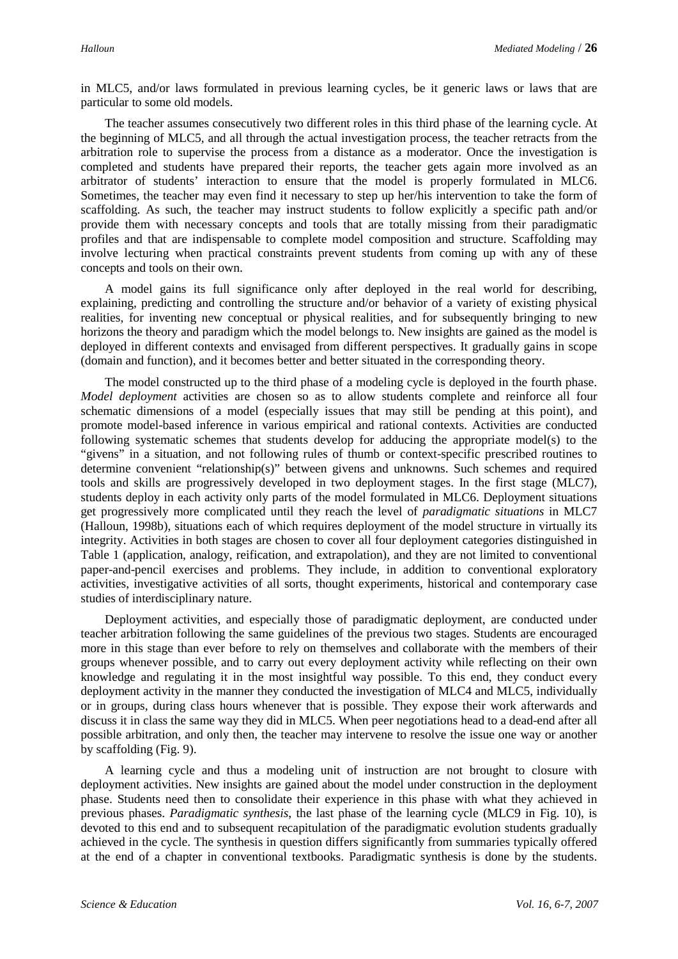in MLC5, and/or laws formulated in previous learning cycles, be it generic laws or laws that are particular to some old models.

The teacher assumes consecutively two different roles in this third phase of the learning cycle. At the beginning of MLC5, and all through the actual investigation process, the teacher retracts from the arbitration role to supervise the process from a distance as a moderator. Once the investigation is completed and students have prepared their reports, the teacher gets again more involved as an arbitrator of students' interaction to ensure that the model is properly formulated in MLC6. Sometimes, the teacher may even find it necessary to step up her/his intervention to take the form of scaffolding. As such, the teacher may instruct students to follow explicitly a specific path and/or provide them with necessary concepts and tools that are totally missing from their paradigmatic profiles and that are indispensable to complete model composition and structure. Scaffolding may involve lecturing when practical constraints prevent students from coming up with any of these concepts and tools on their own.

A model gains its full significance only after deployed in the real world for describing, explaining, predicting and controlling the structure and/or behavior of a variety of existing physical realities, for inventing new conceptual or physical realities, and for subsequently bringing to new horizons the theory and paradigm which the model belongs to. New insights are gained as the model is deployed in different contexts and envisaged from different perspectives. It gradually gains in scope (domain and function), and it becomes better and better situated in the corresponding theory.

The model constructed up to the third phase of a modeling cycle is deployed in the fourth phase. *Model deployment* activities are chosen so as to allow students complete and reinforce all four schematic dimensions of a model (especially issues that may still be pending at this point), and promote model-based inference in various empirical and rational contexts. Activities are conducted following systematic schemes that students develop for adducing the appropriate model(s) to the "givens" in a situation, and not following rules of thumb or context-specific prescribed routines to determine convenient "relationship(s)" between givens and unknowns. Such schemes and required tools and skills are progressively developed in two deployment stages. In the first stage (MLC7), students deploy in each activity only parts of the model formulated in MLC6. Deployment situations get progressively more complicated until they reach the level of *paradigmatic situations* in MLC7 (Halloun, 1998b), situations each of which requires deployment of the model structure in virtually its integrity. Activities in both stages are chosen to cover all four deployment categories distinguished in Table 1 (application, analogy, reification, and extrapolation), and they are not limited to conventional paper-and-pencil exercises and problems. They include, in addition to conventional exploratory activities, investigative activities of all sorts, thought experiments, historical and contemporary case studies of interdisciplinary nature.

Deployment activities, and especially those of paradigmatic deployment, are conducted under teacher arbitration following the same guidelines of the previous two stages. Students are encouraged more in this stage than ever before to rely on themselves and collaborate with the members of their groups whenever possible, and to carry out every deployment activity while reflecting on their own knowledge and regulating it in the most insightful way possible. To this end, they conduct every deployment activity in the manner they conducted the investigation of MLC4 and MLC5, individually or in groups, during class hours whenever that is possible. They expose their work afterwards and discuss it in class the same way they did in MLC5. When peer negotiations head to a dead-end after all possible arbitration, and only then, the teacher may intervene to resolve the issue one way or another by scaffolding (Fig. 9).

A learning cycle and thus a modeling unit of instruction are not brought to closure with deployment activities. New insights are gained about the model under construction in the deployment phase. Students need then to consolidate their experience in this phase with what they achieved in previous phases. *Paradigmatic synthesis*, the last phase of the learning cycle (MLC9 in Fig. 10), is devoted to this end and to subsequent recapitulation of the paradigmatic evolution students gradually achieved in the cycle. The synthesis in question differs significantly from summaries typically offered at the end of a chapter in conventional textbooks. Paradigmatic synthesis is done by the students.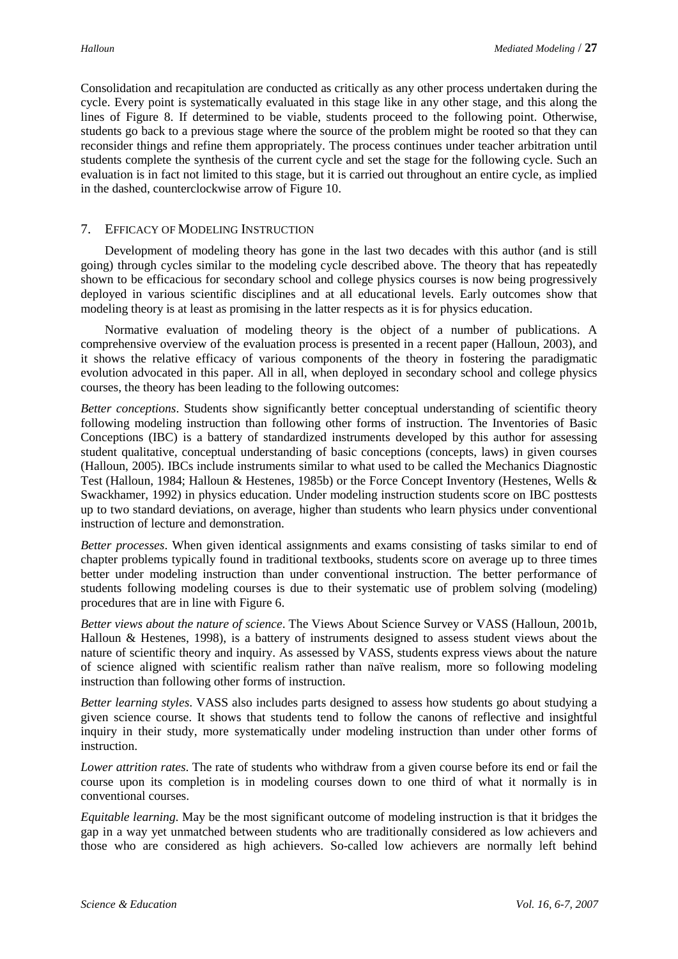Consolidation and recapitulation are conducted as critically as any other process undertaken during the cycle. Every point is systematically evaluated in this stage like in any other stage, and this along the lines of Figure 8. If determined to be viable, students proceed to the following point. Otherwise, students go back to a previous stage where the source of the problem might be rooted so that they can reconsider things and refine them appropriately. The process continues under teacher arbitration until students complete the synthesis of the current cycle and set the stage for the following cycle. Such an evaluation is in fact not limited to this stage, but it is carried out throughout an entire cycle, as implied in the dashed, counterclockwise arrow of Figure 10.

### 7. EFFICACY OF MODELING INSTRUCTION

Development of modeling theory has gone in the last two decades with this author (and is still going) through cycles similar to the modeling cycle described above. The theory that has repeatedly shown to be efficacious for secondary school and college physics courses is now being progressively deployed in various scientific disciplines and at all educational levels. Early outcomes show that modeling theory is at least as promising in the latter respects as it is for physics education.

Normative evaluation of modeling theory is the object of a number of publications. A comprehensive overview of the evaluation process is presented in a recent paper (Halloun, 2003), and it shows the relative efficacy of various components of the theory in fostering the paradigmatic evolution advocated in this paper. All in all, when deployed in secondary school and college physics courses, the theory has been leading to the following outcomes:

*Better conceptions*. Students show significantly better conceptual understanding of scientific theory following modeling instruction than following other forms of instruction. The Inventories of Basic Conceptions (IBC) is a battery of standardized instruments developed by this author for assessing student qualitative, conceptual understanding of basic conceptions (concepts, laws) in given courses (Halloun, 2005). IBCs include instruments similar to what used to be called the Mechanics Diagnostic Test (Halloun, 1984; Halloun & Hestenes, 1985b) or the Force Concept Inventory (Hestenes, Wells & Swackhamer, 1992) in physics education. Under modeling instruction students score on IBC posttests up to two standard deviations, on average, higher than students who learn physics under conventional instruction of lecture and demonstration.

*Better processes*. When given identical assignments and exams consisting of tasks similar to end of chapter problems typically found in traditional textbooks, students score on average up to three times better under modeling instruction than under conventional instruction. The better performance of students following modeling courses is due to their systematic use of problem solving (modeling) procedures that are in line with Figure 6.

*Better views about the nature of science*. The Views About Science Survey or VASS (Halloun, 2001b, Halloun & Hestenes, 1998), is a battery of instruments designed to assess student views about the nature of scientific theory and inquiry. As assessed by VASS, students express views about the nature of science aligned with scientific realism rather than naïve realism, more so following modeling instruction than following other forms of instruction.

*Better learning styles*. VASS also includes parts designed to assess how students go about studying a given science course. It shows that students tend to follow the canons of reflective and insightful inquiry in their study, more systematically under modeling instruction than under other forms of instruction.

*Lower attrition rates*. The rate of students who withdraw from a given course before its end or fail the course upon its completion is in modeling courses down to one third of what it normally is in conventional courses.

*Equitable learning*. May be the most significant outcome of modeling instruction is that it bridges the gap in a way yet unmatched between students who are traditionally considered as low achievers and those who are considered as high achievers. So-called low achievers are normally left behind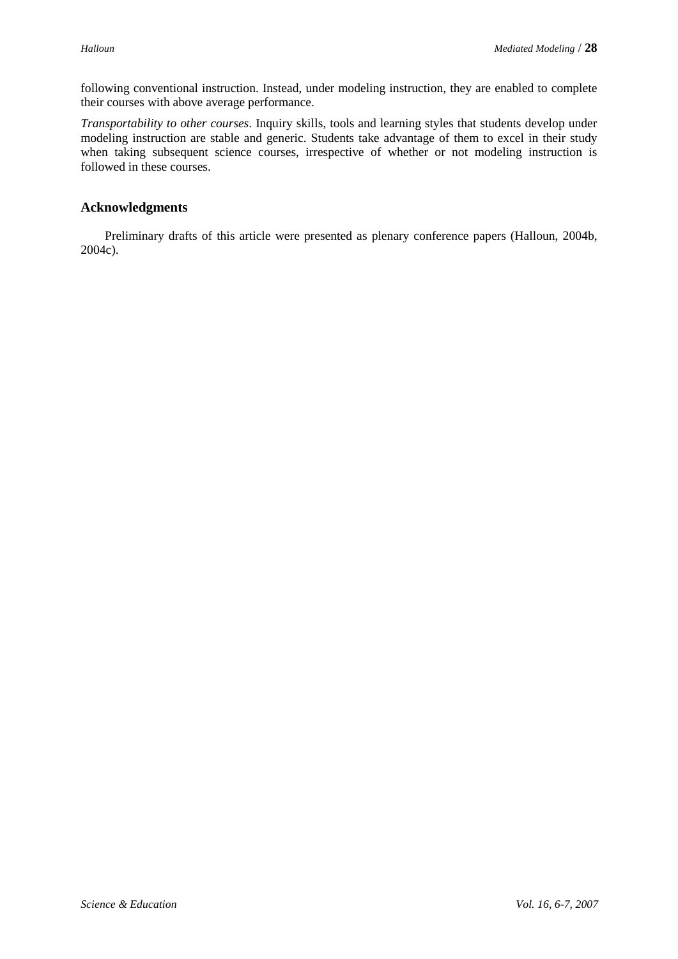following conventional instruction. Instead, under modeling instruction, they are enabled to complete their courses with above average performance.

*Transportability to other courses*. Inquiry skills, tools and learning styles that students develop under modeling instruction are stable and generic. Students take advantage of them to excel in their study when taking subsequent science courses, irrespective of whether or not modeling instruction is followed in these courses.

# **Acknowledgments**

Preliminary drafts of this article were presented as plenary conference papers (Halloun, 2004b, 2004c).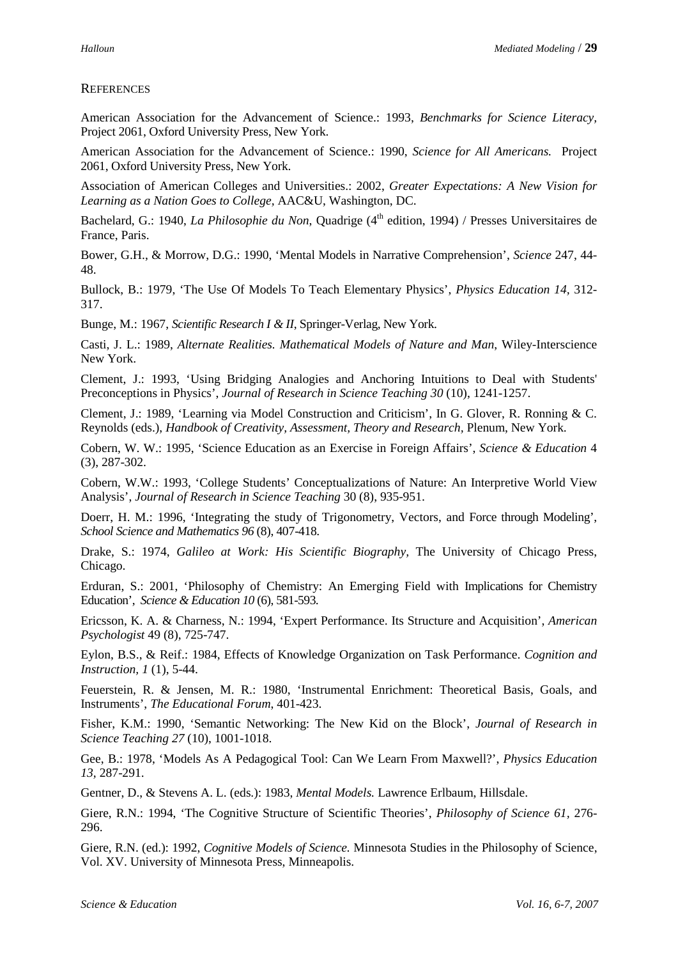# **REFERENCES**

American Association for the Advancement of Science.: 1993, *Benchmarks for Science Literacy,*  Project 2061, Oxford University Press, New York.

American Association for the Advancement of Science.: 1990, *Science for All Americans.* Project 2061, Oxford University Press, New York.

Association of American Colleges and Universities.: 2002, *Greater Expectations: A New Vision for Learning as a Nation Goes to College,* AAC&U, Washington, DC.

Bachelard, G.: 1940, *La Philosophie du Non*, Quadrige (4<sup>th</sup> edition, 1994) / Presses Universitaires de France, Paris.

Bower, G.H., & Morrow, D.G.: 1990, 'Mental Models in Narrative Comprehension', *Science* 247, 44- 48.

Bullock, B.: 1979, 'The Use Of Models To Teach Elementary Physics', *Physics Education 14,* 312- 317.

Bunge, M.: 1967, *Scientific Research I & II*, Springer-Verlag, New York.

Casti, J. L.: 1989, *Alternate Realities. Mathematical Models of Nature and Man*, Wiley-Interscience New York.

Clement, J.: 1993, 'Using Bridging Analogies and Anchoring Intuitions to Deal with Students' Preconceptions in Physics', *Journal of Research in Science Teaching 30* (10), 1241-1257.

Clement, J.: 1989, 'Learning via Model Construction and Criticism', In G. Glover, R. Ronning & C. Reynolds (eds.), *Handbook of Creativity, Assessment, Theory and Research,* Plenum, New York.

Cobern, W. W.: 1995, 'Science Education as an Exercise in Foreign Affairs', *Science & Education* 4 (3), 287-302.

Cobern, W.W.: 1993, 'College Students' Conceptualizations of Nature: An Interpretive World View Analysis', *Journal of Research in Science Teaching* 30 (8), 935-951.

Doerr, H. M.: 1996, 'Integrating the study of Trigonometry, Vectors, and Force through Modeling', *School Science and Mathematics 96* (8), 407-418.

Drake, S.: 1974, *Galileo at Work: His Scientific Biography,* The University of Chicago Press, Chicago.

Erduran, S.: 2001, 'Philosophy of Chemistry: An Emerging Field with Implications for Chemistry Education', *Science & Education 10* (6), 581-593.

Ericsson, K. A. & Charness, N.: 1994, 'Expert Performance. Its Structure and Acquisition', *American Psychologist* 49 (8), 725-747.

Eylon, B.S., & Reif.: 1984, Effects of Knowledge Organization on Task Performance. *Cognition and Instruction, 1* (1), 5-44.

Feuerstein, R. & Jensen, M. R.: 1980, 'Instrumental Enrichment: Theoretical Basis, Goals, and Instruments', *The Educational Forum*, 401-423.

Fisher, K.M.: 1990, 'Semantic Networking: The New Kid on the Block', *Journal of Research in Science Teaching 27* (10), 1001-1018.

Gee, B.: 1978, 'Models As A Pedagogical Tool: Can We Learn From Maxwell?', *Physics Education 13,* 287-291.

Gentner, D., & Stevens A. L. (eds.): 1983, *Mental Models.* Lawrence Erlbaum, Hillsdale.

Giere, R.N.: 1994, 'The Cognitive Structure of Scientific Theories', *Philosophy of Science 61,* 276- 296.

Giere, R.N. (ed.): 1992, *Cognitive Models of Science.* Minnesota Studies in the Philosophy of Science, Vol. XV. University of Minnesota Press, Minneapolis.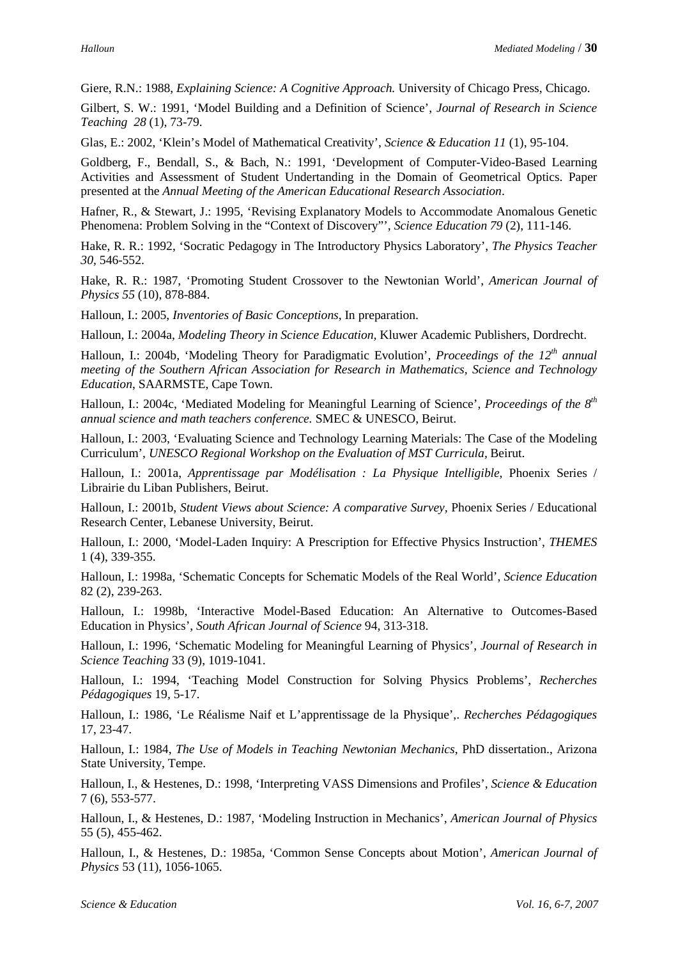Giere, R.N.: 1988, *Explaining Science: A Cognitive Approach*. University of Chicago Press, Chicago.

Gilbert, S. W.: 1991, 'Model Building and a Definition of Science', *Journal of Research in Science Teaching 28* (1), 73-79.

Glas, E.: 2002, 'Klein's Model of Mathematical Creativity', *Science & Education 11* (1), 95-104.

Goldberg, F., Bendall, S., & Bach, N.: 1991, 'Development of Computer-Video-Based Learning Activities and Assessment of Student Undertanding in the Domain of Geometrical Optics. Paper presented at the *Annual Meeting of the American Educational Research Association*.

Hafner, R., & Stewart, J.: 1995, 'Revising Explanatory Models to Accommodate Anomalous Genetic Phenomena: Problem Solving in the "Context of Discovery"', *Science Education 79* (2), 111-146.

Hake, R. R.: 1992, 'Socratic Pedagogy in The Introductory Physics Laboratory', *The Physics Teacher 30,* 546-552.

Hake, R. R.: 1987, 'Promoting Student Crossover to the Newtonian World', *American Journal of Physics 55* (10), 878-884.

Halloun, I.: 2005, *Inventories of Basic Conceptions*, In preparation.

Halloun, I.: 2004a, *Modeling Theory in Science Education,* Kluwer Academic Publishers, Dordrecht.

Halloun, I.: 2004b, 'Modeling Theory for Paradigmatic Evolution', *Proceedings of the 12<sup>th</sup> annual meeting of the Southern African Association for Research in Mathematics, Science and Technology Education*, SAARMSTE, Cape Town.

Halloun, I.: 2004c, 'Mediated Modeling for Meaningful Learning of Science', *Proceedings of the 8<sup>th</sup> annual science and math teachers conference.* SMEC & UNESCO, Beirut.

Halloun, I.: 2003, 'Evaluating Science and Technology Learning Materials: The Case of the Modeling Curriculum', *UNESCO Regional Workshop on the Evaluation of MST Curricula,* Beirut.

Halloun, I.: 2001a, *Apprentissage par Modélisation : La Physique Intelligible*, Phoenix Series / Librairie du Liban Publishers, Beirut.

Halloun, I.: 2001b, *Student Views about Science: A comparative Survey,* Phoenix Series / Educational Research Center, Lebanese University, Beirut.

Halloun, I.: 2000, 'Model-Laden Inquiry: A Prescription for Effective Physics Instruction', *THEMES*  1 (4), 339-355.

Halloun, I.: 1998a, 'Schematic Concepts for Schematic Models of the Real World', *Science Education*  82 (2), 239-263.

Halloun, I.: 1998b, 'Interactive Model-Based Education: An Alternative to Outcomes-Based Education in Physics', *South African Journal of Science* 94*,* 313-318.

Halloun, I.: 1996, 'Schematic Modeling for Meaningful Learning of Physics', *Journal of Research in Science Teaching* 33 (9), 1019-1041.

Halloun, I.: 1994, 'Teaching Model Construction for Solving Physics Problems', *Recherches Pédagogiques* 19*,* 5-17.

Halloun, I.: 1986, 'Le Réalisme Naif et L'apprentissage de la Physique',. *Recherches Pédagogiques* 17, 23-47.

Halloun, I.: 1984, *The Use of Models in Teaching Newtonian Mechanics*, PhD dissertation., Arizona State University, Tempe.

Halloun, I., & Hestenes, D.: 1998, 'Interpreting VASS Dimensions and Profiles', *Science & Education* 7 (6), 553-577.

Halloun, I., & Hestenes, D.: 1987, 'Modeling Instruction in Mechanics', *American Journal of Physics* 55 (5), 455-462.

Halloun, I., & Hestenes, D.: 1985a, 'Common Sense Concepts about Motion', *American Journal of Physics* 53 (11), 1056-1065.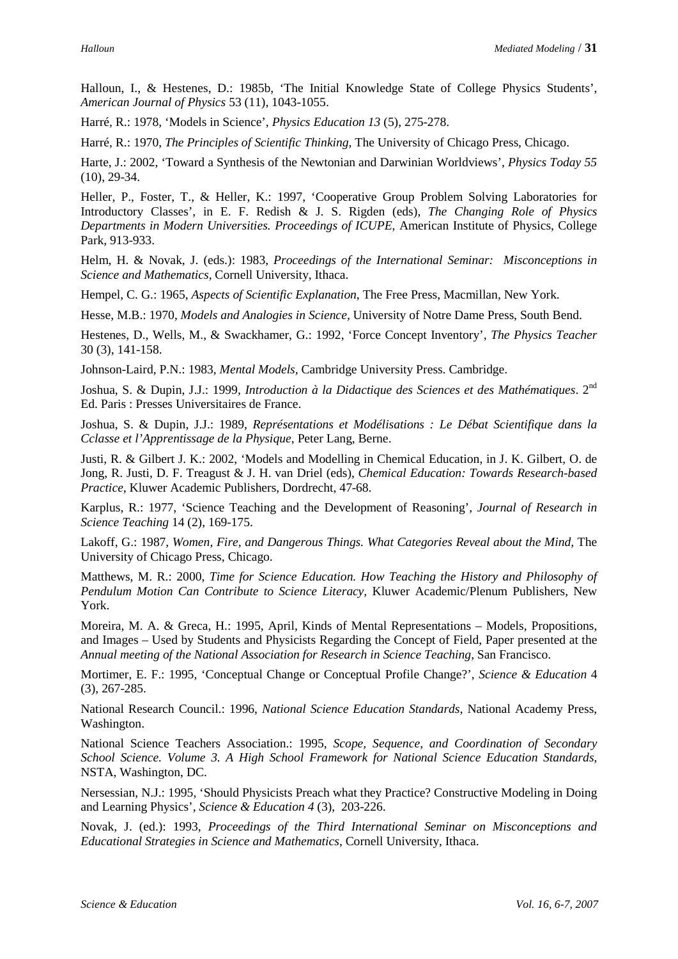Halloun, I., & Hestenes, D.: 1985b, 'The Initial Knowledge State of College Physics Students', *American Journal of Physics* 53 (11), 1043-1055.

Harré, R.: 1978, 'Models in Science', *Physics Education 13* (5), 275-278.

Harré, R.: 1970, *The Principles of Scientific Thinking*, The University of Chicago Press*,* Chicago.

Harte, J.: 2002, 'Toward a Synthesis of the Newtonian and Darwinian Worldviews', *Physics Today 55* (10), 29-34.

Heller, P., Foster, T., & Heller, K.: 1997, 'Cooperative Group Problem Solving Laboratories for Introductory Classes', in E. F. Redish & J. S. Rigden (eds), *The Changing Role of Physics Departments in Modern Universities. Proceedings of ICUPE*, American Institute of Physics, College Park, 913-933.

Helm, H. & Novak, J. (eds.): 1983, *Proceedings of the International Seminar: Misconceptions in Science and Mathematics,* Cornell University, Ithaca.

Hempel, C. G.: 1965, *Aspects of Scientific Explanation*, The Free Press, Macmillan*,* New York.

Hesse, M.B.: 1970, *Models and Analogies in Science,* University of Notre Dame Press, South Bend.

Hestenes, D., Wells, M., & Swackhamer, G.: 1992, 'Force Concept Inventory', *The Physics Teacher* 30 (3), 141-158.

Johnson-Laird, P.N.: 1983, *Mental Models,* Cambridge University Press. Cambridge.

Joshua, S. & Dupin, J.J.: 1999, *Introduction à la Didactique des Sciences et des Mathématiques*. 2nd Ed. Paris : Presses Universitaires de France.

Joshua, S. & Dupin, J.J.: 1989, *Représentations et Modélisations : Le Débat Scientifique dans la Cclasse et l'Apprentissage de la Physique*, Peter Lang, Berne.

Justi, R. & Gilbert J. K.: 2002, 'Models and Modelling in Chemical Education, in J. K. Gilbert, O. de Jong, R. Justi, D. F. Treagust & J. H. van Driel (eds), *Chemical Education: Towards Research-based Practice,* Kluwer Academic Publishers, Dordrecht, 47-68.

Karplus, R.: 1977, 'Science Teaching and the Development of Reasoning', *Journal of Research in Science Teaching* 14 (2), 169-175.

Lakoff, G.: 1987, *Women, Fire, and Dangerous Things. What Categories Reveal about the Mind,* The University of Chicago Press, Chicago.

Matthews, M. R.: 2000, *Time for Science Education. How Teaching the History and Philosophy of Pendulum Motion Can Contribute to Science Literacy,* Kluwer Academic/Plenum Publishers, New York.

Moreira, M. A. & Greca, H.: 1995, April, Kinds of Mental Representations – Models, Propositions, and Images – Used by Students and Physicists Regarding the Concept of Field, Paper presented at the *Annual meeting of the National Association for Research in Science Teaching*, San Francisco.

Mortimer, E. F.: 1995, 'Conceptual Change or Conceptual Profile Change?', *Science & Education* 4 (3), 267-285.

National Research Council.: 1996, *National Science Education Standards*, National Academy Press, Washington.

National Science Teachers Association.: 1995, *Scope, Sequence, and Coordination of Secondary School Science. Volume 3. A High School Framework for National Science Education Standards*, NSTA, Washington, DC.

Nersessian, N.J.: 1995, 'Should Physicists Preach what they Practice? Constructive Modeling in Doing and Learning Physics', *Science & Education 4* (3), 203-226.

Novak, J. (ed.): 1993, *Proceedings of the Third International Seminar on Misconceptions and Educational Strategies in Science and Mathematics*, Cornell University, Ithaca.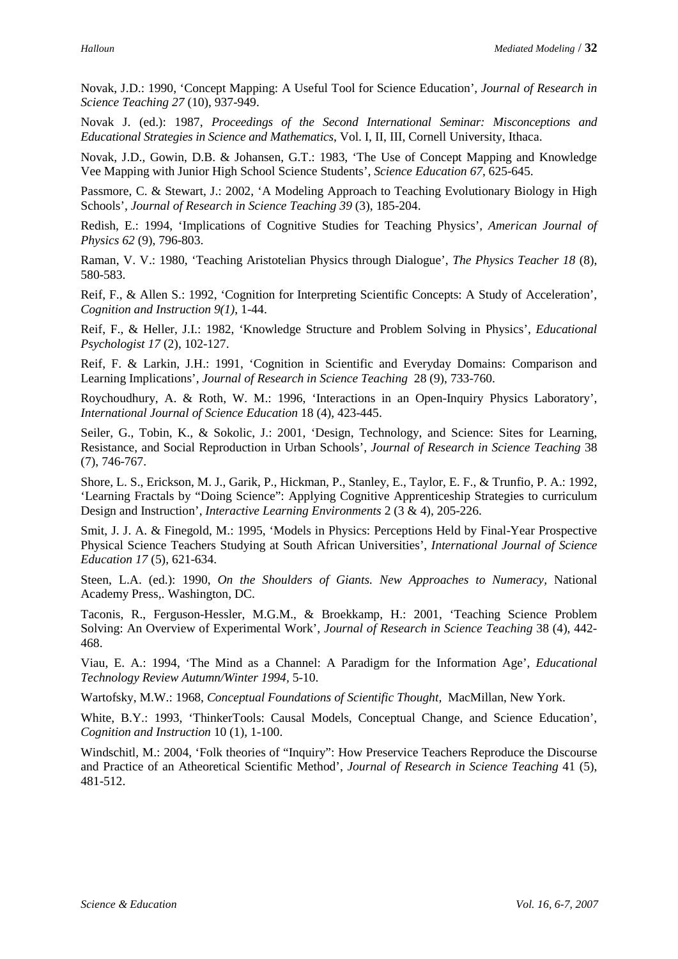Novak, J.D.: 1990, 'Concept Mapping: A Useful Tool for Science Education', *Journal of Research in Science Teaching 27* (10), 937-949.

Novak J. (ed.): 1987, *Proceedings of the Second International Seminar: Misconceptions and Educational Strategies in Science and Mathematics*, Vol. I, II, III, Cornell University, Ithaca.

Novak, J.D., Gowin, D.B. & Johansen, G.T.: 1983, 'The Use of Concept Mapping and Knowledge Vee Mapping with Junior High School Science Students', *Science Education 67*, 625-645.

Passmore, C. & Stewart, J.: 2002, 'A Modeling Approach to Teaching Evolutionary Biology in High Schools', *Journal of Research in Science Teaching 39* (3), 185-204.

Redish, E.: 1994, 'Implications of Cognitive Studies for Teaching Physics', *American Journal of Physics 62* (9), 796-803.

Raman, V. V.: 1980, 'Teaching Aristotelian Physics through Dialogue', *The Physics Teacher 18* (8), 580-583.

Reif, F., & Allen S.: 1992, 'Cognition for Interpreting Scientific Concepts: A Study of Acceleration', *Cognition and Instruction 9(1)*, 1-44.

Reif, F., & Heller, J.I.: 1982, 'Knowledge Structure and Problem Solving in Physics', *Educational Psychologist 17* (2), 102-127.

Reif, F. & Larkin, J.H.: 1991, 'Cognition in Scientific and Everyday Domains: Comparison and Learning Implications', *Journal of Research in Science Teaching* 28 (9), 733-760.

Roychoudhury, A. & Roth, W. M.: 1996, 'Interactions in an Open-Inquiry Physics Laboratory', *International Journal of Science Education* 18 (4), 423-445.

Seiler, G., Tobin, K., & Sokolic, J.: 2001, 'Design, Technology, and Science: Sites for Learning, Resistance, and Social Reproduction in Urban Schools', *Journal of Research in Science Teaching* 38 (7), 746-767.

Shore, L. S., Erickson, M. J., Garik, P., Hickman, P., Stanley, E., Taylor, E. F., & Trunfio, P. A.: 1992, 'Learning Fractals by "Doing Science": Applying Cognitive Apprenticeship Strategies to curriculum Design and Instruction', *Interactive Learning Environments* 2 (3 & 4), 205-226.

Smit, J. J. A. & Finegold, M.: 1995, 'Models in Physics: Perceptions Held by Final-Year Prospective Physical Science Teachers Studying at South African Universities', *International Journal of Science Education 17* (5), 621-634.

Steen, L.A. (ed.): 1990, *On the Shoulders of Giants. New Approaches to Numeracy,* National Academy Press,. Washington, DC.

Taconis, R., Ferguson-Hessler, M.G.M., & Broekkamp, H.: 2001, 'Teaching Science Problem Solving: An Overview of Experimental Work', *Journal of Research in Science Teaching* 38 (4), 442- 468.

Viau, E. A.: 1994, 'The Mind as a Channel: A Paradigm for the Information Age', *Educational Technology Review Autumn/Winter 1994,* 5-10.

Wartofsky, M.W.: 1968, *Conceptual Foundations of Scientific Thought,* MacMillan, New York.

White, B.Y.: 1993, 'ThinkerTools: Causal Models, Conceptual Change, and Science Education', *Cognition and Instruction* 10 (1), 1-100.

Windschitl, M.: 2004, 'Folk theories of "Inquiry": How Preservice Teachers Reproduce the Discourse and Practice of an Atheoretical Scientific Method', *Journal of Research in Science Teaching* 41 (5), 481-512.